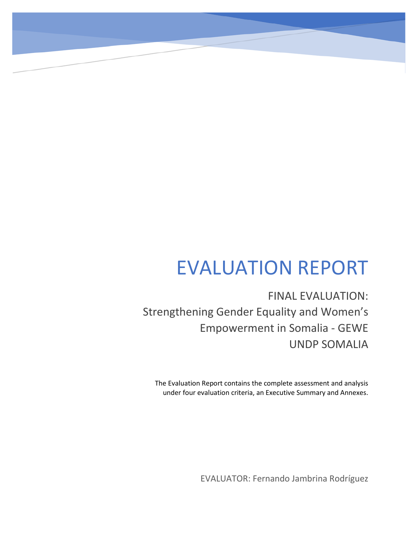# EVALUATION REPORT

FINAL EVALUATION: Strengthening Gender Equality and Women's Empowerment in Somalia - GEWE UNDP SOMALIA

mk

The Evaluation Report contains the complete assessment and analysis under four evaluation criteria, an Executive Summary and Annexes.

EVALUATOR: Fernando Jambrina Rodríguez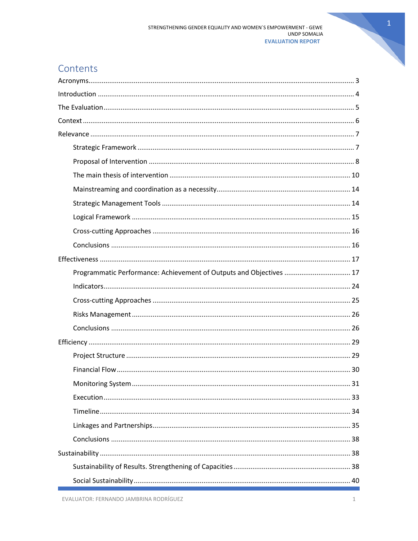# Contents

| Programmatic Performance: Achievement of Outputs and Objectives  17 |  |
|---------------------------------------------------------------------|--|
|                                                                     |  |
|                                                                     |  |
|                                                                     |  |
|                                                                     |  |
|                                                                     |  |
|                                                                     |  |
|                                                                     |  |
|                                                                     |  |
|                                                                     |  |
|                                                                     |  |
|                                                                     |  |
|                                                                     |  |
|                                                                     |  |
|                                                                     |  |
|                                                                     |  |

 $\,1$ 

 $\overline{1}$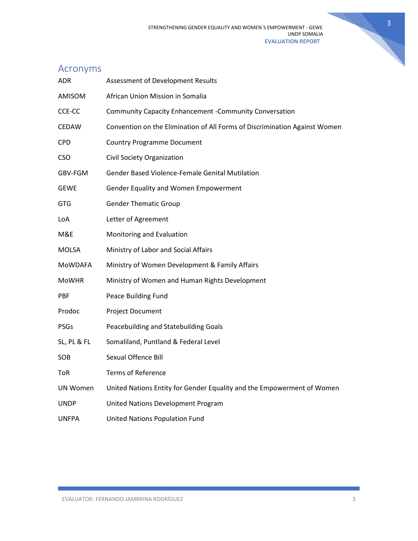

# <span id="page-3-0"></span>Acronyms

| <b>ADR</b>     | <b>Assessment of Development Results</b>                                   |
|----------------|----------------------------------------------------------------------------|
| AMISOM         | African Union Mission in Somalia                                           |
| CCE-CC         | Community Capacity Enhancement -Community Conversation                     |
| <b>CEDAW</b>   | Convention on the Elimination of All Forms of Discrimination Against Women |
| <b>CPD</b>     | <b>Country Programme Document</b>                                          |
| <b>CSO</b>     | Civil Society Organization                                                 |
| GBV-FGM        | Gender Based Violence-Female Genital Mutilation                            |
| <b>GEWE</b>    | Gender Equality and Women Empowerment                                      |
| GTG            | <b>Gender Thematic Group</b>                                               |
| LoA            | Letter of Agreement                                                        |
| M&E            | Monitoring and Evaluation                                                  |
| <b>MOLSA</b>   | Ministry of Labor and Social Affairs                                       |
| <b>MOWDAFA</b> | Ministry of Women Development & Family Affairs                             |
| <b>MoWHR</b>   | Ministry of Women and Human Rights Development                             |
| <b>PBF</b>     | Peace Building Fund                                                        |
| Prodoc         | Project Document                                                           |
| PSGs           | Peacebuilding and Statebuilding Goals                                      |
| SL, PL & FL    | Somaliland, Puntland & Federal Level                                       |
| SOB.           | <b>Sexual Offence Bill</b>                                                 |
| ToR            | <b>Terms of Reference</b>                                                  |
| UN Women       | United Nations Entity for Gender Equality and the Empowerment of Women     |
| <b>UNDP</b>    | United Nations Development Program                                         |
| UNFPA          | <b>United Nations Population Fund</b>                                      |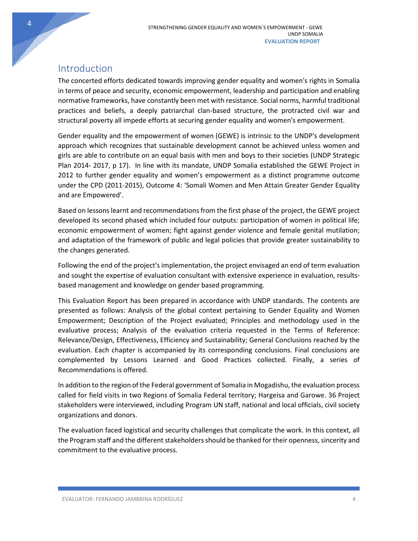# <span id="page-4-0"></span>Introduction

The concerted efforts dedicated towards improving gender equality and women's rights in Somalia in terms of peace and security, economic empowerment, leadership and participation and enabling normative frameworks, have constantly been met with resistance. Social norms, harmful traditional practices and beliefs, a deeply patriarchal clan-based structure, the protracted civil war and structural poverty all impede efforts at securing gender equality and women's empowerment.

Gender equality and the empowerment of women (GEWE) is intrinsic to the UNDP's development approach which recognizes that sustainable development cannot be achieved unless women and girls are able to contribute on an equal basis with men and boys to their societies (UNDP Strategic Plan 2014- 2017, p 17). In line with its mandate, UNDP Somalia established the GEWE Project in 2012 to further gender equality and women's empowerment as a distinct programme outcome under the CPD (2011-2015), Outcome 4: 'Somali Women and Men Attain Greater Gender Equality and are Empowered'.

Based on lessons learnt and recommendations from the first phase of the project, the GEWE project developed its second phased which included four outputs: participation of women in political life; economic empowerment of women; fight against gender violence and female genital mutilation; and adaptation of the framework of public and legal policies that provide greater sustainability to the changes generated.

Following the end of the project's implementation, the project envisaged an end of term evaluation and sought the expertise of evaluation consultant with extensive experience in evaluation, resultsbased management and knowledge on gender based programming.

This Evaluation Report has been prepared in accordance with UNDP standards. The contents are presented as follows: Analysis of the global context pertaining to Gender Equality and Women Empowerment; Description of the Project evaluated; Principles and methodology used in the evaluative process; Analysis of the evaluation criteria requested in the Terms of Reference: Relevance/Design, Effectiveness, Efficiency and Sustainability; General Conclusions reached by the evaluation. Each chapter is accompanied by its corresponding conclusions. Final conclusions are complemented by Lessons Learned and Good Practices collected. Finally, a series of Recommendations is offered.

In addition to the region of the Federal government of Somalia in Mogadishu, the evaluation process called for field visits in two Regions of Somalia Federal territory; Hargeisa and Garowe. 36 Project stakeholders were interviewed, including Program UN staff, national and local officials, civil society organizations and donors.

The evaluation faced logistical and security challenges that complicate the work. In this context, all the Program staff and the different stakeholders should be thanked for their openness, sincerity and commitment to the evaluative process.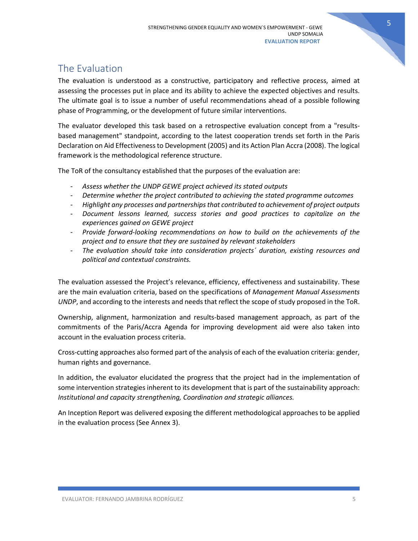# <span id="page-5-0"></span>The Evaluation

The evaluation is understood as a constructive, participatory and reflective process, aimed at assessing the processes put in place and its ability to achieve the expected objectives and results. The ultimate goal is to issue a number of useful recommendations ahead of a possible following phase of Programming, or the development of future similar interventions.

The evaluator developed this task based on a retrospective evaluation concept from a "resultsbased management" standpoint, according to the latest cooperation trends set forth in the Paris Declaration on Aid Effectiveness to Development (2005) and its Action Plan Accra (2008). The logical framework is the methodological reference structure.

The ToR of the consultancy established that the purposes of the evaluation are:

- *Assess whether the UNDP GEWE project achieved its stated outputs*
- *Determine whether the project contributed to achieving the stated programme outcomes*
- *Highlight any processes and partnerships that contributed to achievement of project outputs*
- *Document lessons learned, success stories and good practices to capitalize on the experiences gained on GEWE project*
- *Provide forward-looking recommendations on how to build on the achievements of the project and to ensure that they are sustained by relevant stakeholders*
- *The evaluation should take into consideration projects´ duration, existing resources and political and contextual constraints.*

The evaluation assessed the Project's relevance, efficiency, effectiveness and sustainability. These are the main evaluation criteria, based on the specifications of *Management Manual Assessments UNDP*, and according to the interests and needs that reflect the scope of study proposed in the ToR.

Ownership, alignment, harmonization and results-based management approach, as part of the commitments of the Paris/Accra Agenda for improving development aid were also taken into account in the evaluation process criteria.

Cross-cutting approaches also formed part of the analysis of each of the evaluation criteria: gender, human rights and governance.

In addition, the evaluator elucidated the progress that the project had in the implementation of some intervention strategies inherent to its development that is part of the sustainability approach: *Institutional and capacity strengthening, Coordination and strategic alliances.*

An Inception Report was delivered exposing the different methodological approaches to be applied in the evaluation process (See Annex 3).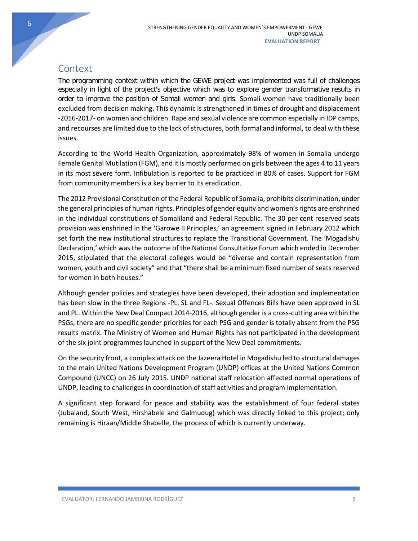# <span id="page-6-0"></span>Context

The programming context within which the GEWE project was implemented was full of challenges especially in light of the project's objective which was to explore gender transformative results in order to improve the position of Somali women and girls. Somali women have traditionally been excluded from decision making. This dynamic is strengthened in times of drought and displacement -2016-2017- on women and children. Rape and sexual violence are common especially in IDP camps, and recourses are limited due to the lack of structures, both formal and informal, to deal with these issues.

According to the World Health Organization, approximately 98% of women in Somalia undergo Female Genital Mutilation (FGM), and it is mostly performed on girls between the ages 4 to 11 years in its most severe form. Infibulation is reported to be practiced in 80% of cases. Support for FGM from community members is a key barrier to its eradication.

The 2012 Provisional Constitution of the Federal Republic of Somalia, prohibits discrimination, under the general principles of human rights. Principles of gender equity and women's rights are enshrined in the individual constitutions of Somaliland and Federal Republic. The 30 per cent reserved seats provision was enshrined in the 'Garowe II Principles,' an agreement signed in February 2012 which set forth the new institutional structures to replace the Transitional Government. The 'Mogadishu Declaration,' which was the outcome of the National Consultative Forum which ended in December 2015, stipulated that the electoral colleges would be "diverse and contain representation from women, youth and civil society" and that "there shall be a minimum fixed number of seats reserved for women in both houses."

Although gender policies and strategies have been developed, their adoption and implementation has been slow in the three Regions -PL, SL and FL-. Sexual Offences Bills have been approved in SL and PL. Within the New Deal Compact 2014-2016, although gender is a cross-cutting area within the PSGs, there are no specific gender priorities for each PSG and gender is totally absent from the PSG results matrix. The Ministry of Women and Human Rights has not participated in the development of the six joint programmes launched in support of the New Deal commitments.

On the security front, a complex attack on the Jazeera Hotel in Mogadishu led to structural damages to the main United Nations Development Program (UNDP) offices at the United Nations Common Compound (UNCC) on 26 July 2015. UNDP national staff relocation affected normal operations of UNDP, leading to challenges in coordination of staff activities and program implementation.

A significant step forward for peace and stability was the establishment of four federal states (Jubaland, South West, Hirshabele and Galmudug) which was directly linked to this project; only remaining is Hiraan/Middle Shabelle, the process of which is currently underway.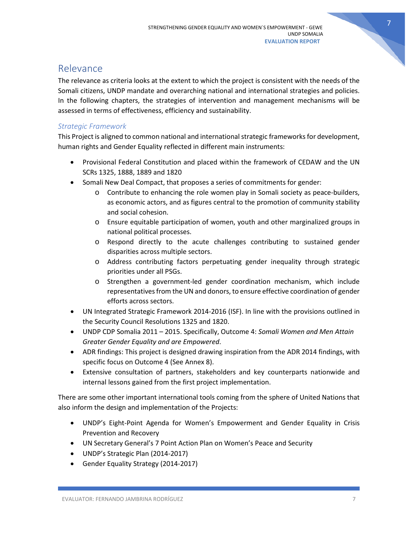

# <span id="page-7-0"></span>Relevance

The relevance as criteria looks at the extent to which the project is consistent with the needs of the Somali citizens, UNDP mandate and overarching national and international strategies and policies. In the following chapters, the strategies of intervention and management mechanisms will be assessed in terms of effectiveness, efficiency and sustainability.

## <span id="page-7-1"></span>*Strategic Framework*

This Project is aligned to common national and international strategic frameworks for development, human rights and Gender Equality reflected in different main instruments:

- Provisional Federal Constitution and placed within the framework of CEDAW and the UN SCRs 1325, 1888, 1889 and 1820
- Somali New Deal Compact, that proposes a series of commitments for gender:
	- $\circ$  Contribute to enhancing the role women play in Somali society as peace-builders, as economic actors, and as figures central to the promotion of community stability and social cohesion.
	- o Ensure equitable participation of women, youth and other marginalized groups in national political processes.
	- o Respond directly to the acute challenges contributing to sustained gender disparities across multiple sectors.
	- o Address contributing factors perpetuating gender inequality through strategic priorities under all PSGs.
	- o Strengthen a government-led gender coordination mechanism, which include representatives from the UN and donors, to ensure effective coordination of gender efforts across sectors.
- UN Integrated Strategic Framework 2014-2016 (ISF). In line with the provisions outlined in the Security Council Resolutions 1325 and 1820.
- UNDP CDP Somalia 2011 2015. Specifically, Outcome 4: *Somali Women and Men Attain Greater Gender Equality and are Empowered*.
- ADR findings: This project is designed drawing inspiration from the ADR 2014 findings, with specific focus on Outcome 4 (See Annex 8).
- Extensive consultation of partners, stakeholders and key counterparts nationwide and internal lessons gained from the first project implementation.

There are some other important international tools coming from the sphere of United Nations that also inform the design and implementation of the Projects:

- UNDP's Eight-Point Agenda for Women's Empowerment and Gender Equality in Crisis Prevention and Recovery
- UN Secretary General's 7 Point Action Plan on Women's Peace and Security
- UNDP's Strategic Plan (2014-2017)
- Gender Equality Strategy (2014-2017)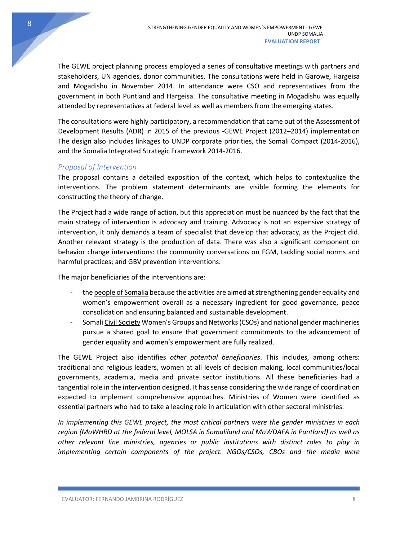The GEWE project planning process employed a series of consultative meetings with partners and stakeholders, UN agencies, donor communities. The consultations were held in Garowe, Hargeisa and Mogadishu in November 2014. In attendance were CSO and representatives from the government in both Puntland and Hargeisa. The consultative meeting in Mogadishu was equally attended by representatives at federal level as well as members from the emerging states.

The consultations were highly participatory, a recommendation that came out of the Assessment of Development Results (ADR) in 2015 of the previous -GEWE Project (2012–2014) implementation The design also includes linkages to UNDP corporate priorities, the Somali Compact (2014-2016), and the Somalia Integrated Strategic Framework 2014-2016.

#### <span id="page-8-0"></span>*Proposal of Intervention*

The proposal contains a detailed exposition of the context, which helps to contextualize the interventions. The problem statement determinants are visible forming the elements for constructing the theory of change.

The Project had a wide range of action, but this appreciation must be nuanced by the fact that the main strategy of intervention is advocacy and training. Advocacy is not an expensive strategy of intervention, it only demands a team of specialist that develop that advocacy, as the Project did. Another relevant strategy is the production of data. There was also a significant component on behavior change interventions: the community conversations on FGM, tackling social norms and harmful practices; and GBV prevention interventions.

The major beneficiaries of the interventions are:

- the people of Somalia because the activities are aimed at strengthening gender equality and women's empowerment overall as a necessary ingredient for good governance, peace consolidation and ensuring balanced and sustainable development.
- Somali Civil Society Women's Groups and Networks (CSOs) and national gender machineries pursue a shared goal to ensure that government commitments to the advancement of gender equality and women's empowerment are fully realized.

The GEWE Project also identifies *other potential beneficiaries*. This includes, among others: traditional and religious leaders, women at all levels of decision making, local communities/local governments, academia, media and private sector institutions. All these beneficiaries had a tangential role in the intervention designed. It has sense considering the wide range of coordination expected to implement comprehensive approaches. Ministries of Women were identified as essential partners who had to take a leading role in articulation with other sectoral ministries.

*In implementing this GEWE project, the most critical partners were the gender ministries in each region (MoWHRD at the federal level, MOLSA in Somaliland and MoWDAFA in Puntland) as well as other relevant line ministries, agencies or public institutions with distinct roles to play in implementing certain components of the project. NGOs/CSOs, CBOs and the media were*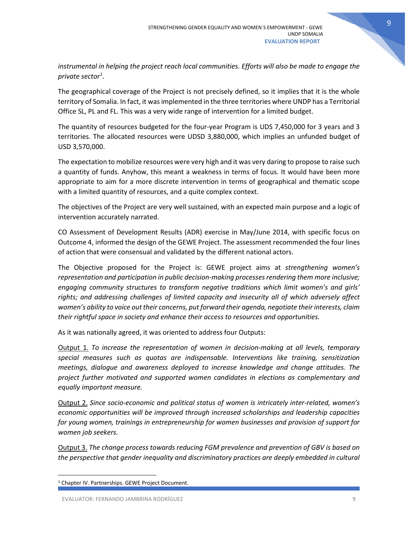*instrumental in helping the project reach local communities. Efforts will also be made to engage the private sector[1](#page-9-0) .*

The geographical coverage of the Project is not precisely defined, so it implies that it is the whole territory of Somalia. In fact, it was implemented in the three territories where UNDP has a Territorial Office SL, PL and FL. This was a very wide range of intervention for a limited budget.

The quantity of resources budgeted for the four-year Program is UDS 7,450,000 for 3 years and 3 territories. The allocated resources were UDSD 3,880,000, which implies an unfunded budget of USD 3,570,000.

The expectation to mobilize resources were very high and it was very daring to propose to raise such a quantity of funds. Anyhow, this meant a weakness in terms of focus. It would have been more appropriate to aim for a more discrete intervention in terms of geographical and thematic scope with a limited quantity of resources, and a quite complex context.

The objectives of the Project are very well sustained, with an expected main purpose and a logic of intervention accurately narrated.

CO Assessment of Development Results (ADR) exercise in May/June 2014, with specific focus on Outcome 4, informed the design of the GEWE Project. The assessment recommended the four lines of action that were consensual and validated by the different national actors.

The Objective proposed for the Project is: GEWE project aims at *strengthening women's representation and participation in public decision-making processes rendering them more inclusive; engaging community structures to transform negative traditions which limit women's and girls' rights; and addressing challenges of limited capacity and insecurity all of which adversely affect women's ability to voice out their concerns, put forward their agenda, negotiate their interests, claim their rightful space in society and enhance their access to resources and opportunities.* 

As it was nationally agreed, it was oriented to address four Outputs:

Output 1. *To increase the representation of women in decision-making at all levels, temporary special measures such as quotas are indispensable. Interventions like training, sensitization meetings, dialogue and awareness deployed to increase knowledge and change attitudes. The project further motivated and supported women candidates in elections as complementary and equally important measure.* 

Output 2. *Since socio-economic and political status of women is intricately inter-related, women's economic opportunities will be improved through increased scholarships and leadership capacities for young women, trainings in entrepreneurship for women businesses and provision of support for women job seekers.*

Output 3. *The change process towards reducing FGM prevalence and prevention of GBV is based on the perspective that gender inequality and discriminatory practices are deeply embedded in cultural* 

<span id="page-9-0"></span><sup>&</sup>lt;sup>1</sup> Chapter IV. Partnerships. GEWE Project Document.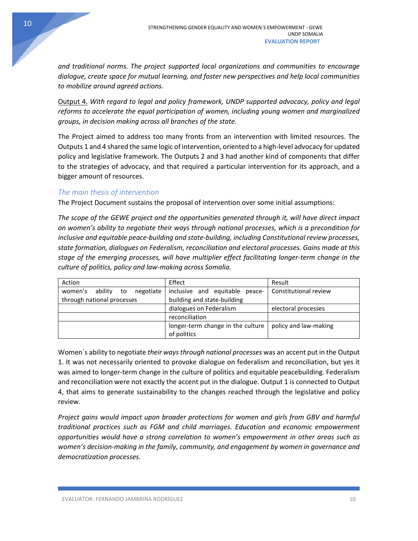*and traditional norms. The project supported local organizations and communities to encourage dialogue, create space for mutual learning, and foster new perspectives and help local communities to mobilize around agreed actions.*

Output 4. *With regard to legal and policy framework, UNDP supported advocacy, policy and legal reforms to accelerate the equal participation of women, including young women and marginalized groups, in decision making across all branches of the state.*

The Project aimed to address too many fronts from an intervention with limited resources. The Outputs 1 and 4 shared the same logic of intervention, oriented to a high-level advocacy for updated policy and legislative framework. The Outputs 2 and 3 had another kind of components that differ to the strategies of advocacy, and that required a particular intervention for its approach, and a bigger amount of resources.

## <span id="page-10-0"></span>*The main thesis of intervention*

The Project Document sustains the proposal of intervention over some initial assumptions:

*The scope of the GEWE project and the opportunities generated through it, will have direct impact on women's ability to negotiate their ways through national processes, which is a precondition for inclusive and equitable peace-building and state-building, including Constitutional review processes, state formation, dialogues on Federalism, reconciliation and electoral processes. Gains made at this stage of the emerging processes, will have multiplier effect facilitating longer-term change in the culture of politics, policy and law-making across Somalia.* 

| Action                          | Effect                            | Result                |
|---------------------------------|-----------------------------------|-----------------------|
| women's ability to<br>negotiate | inclusive and equitable peace-    | Constitutional review |
| through national processes      | building and state-building       |                       |
|                                 | dialogues on Federalism           | electoral processes   |
|                                 | reconciliation                    |                       |
|                                 | longer-term change in the culture | policy and law-making |
| of politics                     |                                   |                       |

Women´s ability to negotiate *their ways through national processes* was an accent put in the Output 1. It was not necessarily oriented to provoke dialogue on federalism and reconciliation, but yes it was aimed to longer-term change in the culture of politics and equitable peacebuilding. Federalism and reconciliation were not exactly the accent put in the dialogue. Output 1 is connected to Output 4, that aims to generate sustainability to the changes reached through the legislative and policy review.

*Project gains would impact upon broader protections for women and girls from GBV and harmful traditional practices such as FGM and child marriages. Education and economic empowerment opportunities would have a strong correlation to women's empowerment in other areas such as women's decision-making in the family, community, and engagement by women in governance and democratization processes.*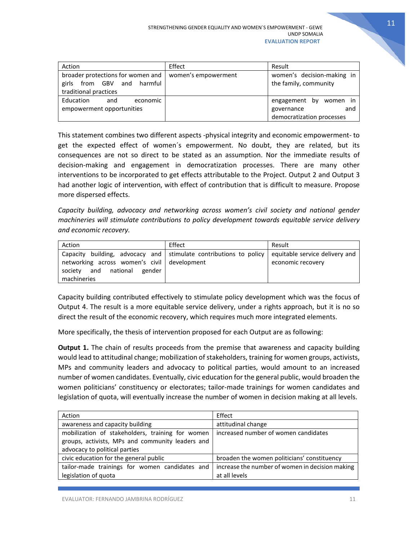| Action                                                                                      | Effect              | Result                                                                   |
|---------------------------------------------------------------------------------------------|---------------------|--------------------------------------------------------------------------|
| broader protections for women and<br>from GBV and harmful<br>girls<br>traditional practices | women's empowerment | women's decision-making in<br>the family, community                      |
| Education<br>economic<br>and<br>empowerment opportunities                                   |                     | engagement by women in<br>and<br>governance<br>democratization processes |

This statement combines two different aspects -physical integrity and economic empowerment- to get the expected effect of women´s empowerment. No doubt, they are related, but its consequences are not so direct to be stated as an assumption. Nor the immediate results of decision-making and engagement in democratization processes. There are many other interventions to be incorporated to get effects attributable to the Project. Output 2 and Output 3 had another logic of intervention, with effect of contribution that is difficult to measure. Propose more dispersed effects.

*Capacity building, advocacy and networking across women's civil society and national gender machineries will stimulate contributions to policy development towards equitable service delivery and economic recovery.*

| Action                                                                                                                                                                                               | Effect | Result            |
|------------------------------------------------------------------------------------------------------------------------------------------------------------------------------------------------------|--------|-------------------|
| Capacity building, advocacy and   stimulate contributions to policy   equitable service delivery and<br>networking across women's civil development<br>society and national<br>gender<br>machineries |        | economic recovery |

Capacity building contributed effectively to stimulate policy development which was the focus of Output 4. The result is a more equitable service delivery, under a rights approach, but it is no so direct the result of the economic recovery, which requires much more integrated elements.

More specifically, the thesis of intervention proposed for each Output are as following:

**Output 1.** The chain of results proceeds from the premise that awareness and capacity building would lead to attitudinal change; mobilization of stakeholders, training for women groups, activists, MPs and community leaders and advocacy to political parties, would amount to an increased number of women candidates. Eventually, civic education for the general public, would broaden the women politicians' constituency or electorates; tailor-made trainings for women candidates and legislation of quota, will eventually increase the number of women in decision making at all levels.

| Action                                           | Effect                                          |  |
|--------------------------------------------------|-------------------------------------------------|--|
| awareness and capacity building                  | attitudinal change                              |  |
| mobilization of stakeholders, training for women | increased number of women candidates            |  |
| groups, activists, MPs and community leaders and |                                                 |  |
| advocacy to political parties                    |                                                 |  |
| civic education for the general public           | broaden the women politicians' constituency     |  |
| tailor-made trainings for women candidates and   | increase the number of women in decision making |  |
| legislation of quota                             | at all levels                                   |  |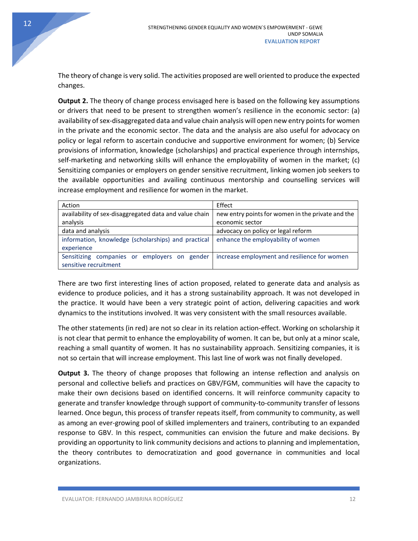The theory of change is very solid. The activities proposed are well oriented to produce the expected changes.

**Output 2.** The theory of change process envisaged here is based on the following key assumptions or drivers that need to be present to strengthen women's resilience in the economic sector: (a) availability of sex-disaggregated data and value chain analysis will open new entry points for women in the private and the economic sector. The data and the analysis are also useful for advocacy on policy or legal reform to ascertain conducive and supportive environment for women; (b) Service provisions of information, knowledge (scholarships) and practical experience through internships, self-marketing and networking skills will enhance the employability of women in the market; (c) Sensitizing companies or employers on gender sensitive recruitment, linking women job seekers to the available opportunities and availing continuous mentorship and counselling services will increase employment and resilience for women in the market.

| Action                                                                | Effect                                            |
|-----------------------------------------------------------------------|---------------------------------------------------|
| availability of sex-disaggregated data and value chain                | new entry points for women in the private and the |
| analysis                                                              | economic sector                                   |
| data and analysis                                                     | advocacy on policy or legal reform                |
| information, knowledge (scholarships) and practical                   | enhance the employability of women                |
| experience                                                            |                                                   |
| Sensitizing companies or employers on gender<br>sensitive recruitment | increase employment and resilience for women      |

There are two first interesting lines of action proposed, related to generate data and analysis as evidence to produce policies, and it has a strong sustainability approach. It was not developed in the practice. It would have been a very strategic point of action, delivering capacities and work dynamics to the institutions involved. It was very consistent with the small resources available.

The other statements (in red) are not so clear in its relation action-effect. Working on scholarship it is not clear that permit to enhance the employability of women. It can be, but only at a minor scale, reaching a small quantity of women. It has no sustainability approach. Sensitizing companies, it is not so certain that will increase employment. This last line of work was not finally developed.

**Output 3.** The theory of change proposes that following an intense reflection and analysis on personal and collective beliefs and practices on GBV/FGM, communities will have the capacity to make their own decisions based on identified concerns. It will reinforce community capacity to generate and transfer knowledge through support of community-to-community transfer of lessons learned. Once begun, this process of transfer repeats itself, from community to community, as well as among an ever-growing pool of skilled implementers and trainers, contributing to an expanded response to GBV. In this respect, communities can envision the future and make decisions. By providing an opportunity to link community decisions and actions to planning and implementation, the theory contributes to democratization and good governance in communities and local organizations.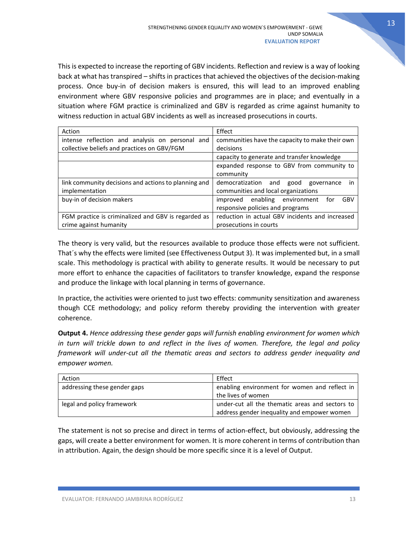This is expected to increase the reporting of GBV incidents. Reflection and review is a way of looking back at what has transpired – shifts in practices that achieved the objectives of the decision-making process. Once buy-in of decision makers is ensured, this will lead to an improved enabling environment where GBV responsive policies and programmes are in place; and eventually in a situation where FGM practice is criminalized and GBV is regarded as crime against humanity to witness reduction in actual GBV incidents as well as increased prosecutions in courts.

| Action                                                                                            | Effect                                          |  |
|---------------------------------------------------------------------------------------------------|-------------------------------------------------|--|
| intense reflection and analysis on personal and                                                   | communities have the capacity to make their own |  |
| collective beliefs and practices on GBV/FGM                                                       | decisions                                       |  |
|                                                                                                   | capacity to generate and transfer knowledge     |  |
|                                                                                                   | expanded response to GBV from community to      |  |
|                                                                                                   | community                                       |  |
| link community decisions and actions to planning and<br>democratization and<br>good<br>governance |                                                 |  |
| implementation                                                                                    | communities and local organizations             |  |
| buy-in of decision makers                                                                         | enabling environment<br>GBV<br>improved<br>for  |  |
|                                                                                                   | responsive policies and programs                |  |
| FGM practice is criminalized and GBV is regarded as                                               | reduction in actual GBV incidents and increased |  |
| crime against humanity                                                                            | prosecutions in courts                          |  |

The theory is very valid, but the resources available to produce those effects were not sufficient. That´s why the effects were limited (see Effectiveness Output 3). It was implemented but, in a small scale. This methodology is practical with ability to generate results. It would be necessary to put more effort to enhance the capacities of facilitators to transfer knowledge, expand the response and produce the linkage with local planning in terms of governance.

In practice, the activities were oriented to just two effects: community sensitization and awareness though CCE methodology; and policy reform thereby providing the intervention with greater coherence.

**Output 4.** *Hence addressing these gender gaps will furnish enabling environment for women which in turn will trickle down to and reflect in the lives of women. Therefore, the legal and policy framework will under-cut all the thematic areas and sectors to address gender inequality and empower women.*

| Action                       | Effect                                                                                         |
|------------------------------|------------------------------------------------------------------------------------------------|
| addressing these gender gaps | enabling environment for women and reflect in<br>the lives of women                            |
| legal and policy framework   | under-cut all the thematic areas and sectors to<br>address gender inequality and empower women |

The statement is not so precise and direct in terms of action-effect, but obviously, addressing the gaps, will create a better environment for women. It is more coherent in terms of contribution than in attribution. Again, the design should be more specific since it is a level of Output.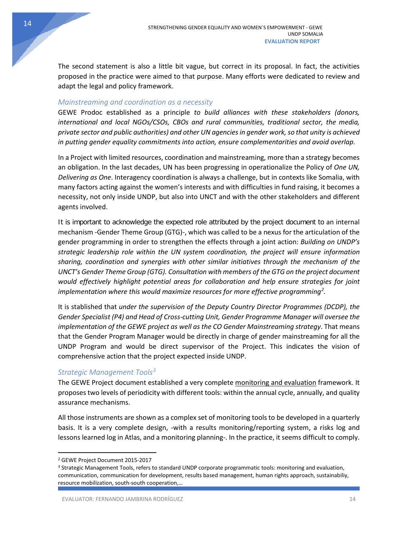14

The second statement is also a little bit vague, but correct in its proposal. In fact, the activities proposed in the practice were aimed to that purpose. Many efforts were dedicated to review and adapt the legal and policy framework.

#### <span id="page-14-0"></span>*Mainstreaming and coordination as a necessity*

GEWE Prodoc established as a principle *to build alliances with these stakeholders (donors, international and local NGOs/CSOs, CBOs and rural communities, traditional sector, the media, private sector and public authorities) and other UN agencies in gender work,so that unity is achieved in putting gender equality commitments into action, ensure complementarities and avoid overlap*.

In a Project with limited resources, coordination and mainstreaming, more than a strategy becomes an obligation. In the last decades, UN has been progressing in operationalize the Policy of *One UN, Delivering as One*. Interagency coordination is always a challenge, but in contexts like Somalia, with many factors acting against the women's interests and with difficulties in fund raising, it becomes a necessity, not only inside UNDP, but also into UNCT and with the other stakeholders and different agents involved.

It is important to acknowledge the expected role attributed by the project document to an internal mechanism -Gender Theme Group (GTG)-, which was called to be a nexus for the articulation of the gender programming in order to strengthen the effects through a joint action: *Building on UNDP's strategic leadership role within the UN system coordination, the project will ensure information sharing, coordination and synergies with other similar initiatives through the mechanism of the UNCT's Gender Theme Group (GTG). Consultation with members of the GTG on the project document would effectively highlight potential areas for collaboration and help ensure strategies for joint implementation where this would maximize resources for more effective programming[2](#page-14-2) .*

It is stablished that *under the supervision of the Deputy Country Director Programmes (DCDP), the Gender Specialist (P4) and Head of Cross-cutting Unit, Gender Programme Manager will oversee the implementation of the GEWE project as well as the CO Gender Mainstreaming strategy*. That means that the Gender Program Manager would be directly in charge of gender mainstreaming for all the UNDP Program and would be direct supervisor of the Project. This indicates the vision of comprehensive action that the project expected inside UNDP.

## <span id="page-14-1"></span>*Strategic Management Tools[3](#page-14-3)*

The GEWE Project document established a very complete monitoring and evaluation framework. It proposes two levels of periodicity with different tools: within the annual cycle, annually, and quality assurance mechanisms.

All those instruments are shown as a complex set of monitoring tools to be developed in a quarterly basis. It is a very complete design, -with a results monitoring/reporting system, a risks log and lessons learned log in Atlas, and a monitoring planning-. In the practice, it seems difficult to comply.

<span id="page-14-2"></span> <sup>2</sup> GEWE Project Document 2015-2017

<span id="page-14-3"></span><sup>3</sup> Strategic Management Tools, refers to standard UNDP corporate programmatic tools: monitoring and evaluation, communication, communication for development, results based management, human rights approach, sustainabiliy, resource mobilization, south-south cooperation,…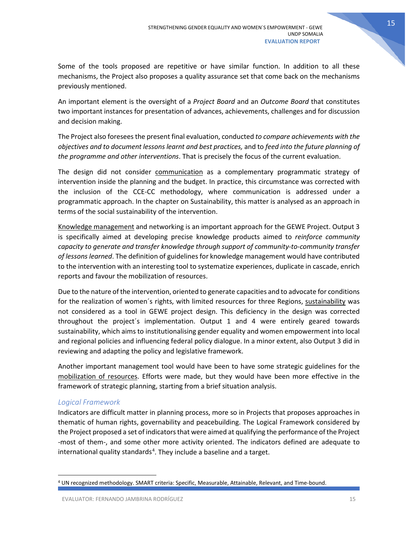Some of the tools proposed are repetitive or have similar function. In addition to all these mechanisms, the Project also proposes a quality assurance set that come back on the mechanisms previously mentioned.

An important element is the oversight of a *Project Board* and an *Outcome Board* that constitutes two important instances for presentation of advances, achievements, challenges and for discussion and decision making.

The Project also foresees the present final evaluation, conducted *to compare achievements with the objectives and to document lessons learnt and best practices,* and to *feed into the future planning of the programme and other interventions*. That is precisely the focus of the current evaluation.

The design did not consider communication as a complementary programmatic strategy of intervention inside the planning and the budget. In practice, this circumstance was corrected with the inclusion of the CCE-CC methodology, where communication is addressed under a programmatic approach. In the chapter on Sustainability, this matter is analysed as an approach in terms of the social sustainability of the intervention.

Knowledge management and networking is an important approach for the GEWE Project. Output 3 is specifically aimed at developing precise knowledge products aimed to *reinforce community capacity to generate and transfer knowledge through support of community-to-community transfer of lessons learned*. The definition of guidelines for knowledge management would have contributed to the intervention with an interesting tool to systematize experiences, duplicate in cascade, enrich reports and favour the mobilization of resources.

Due to the nature of the intervention, oriented to generate capacities and to advocate for conditions for the realization of women´s rights, with limited resources for three Regions, sustainability was not considered as a tool in GEWE project design. This deficiency in the design was corrected throughout the project´s implementation. Output 1 and 4 were entirely geared towards sustainability, which aims to institutionalising gender equality and women empowerment into local and regional policies and influencing federal policy dialogue. In a minor extent, also Output 3 did in reviewing and adapting the policy and legislative framework.

Another important management tool would have been to have some strategic guidelines for the mobilization of resources. Efforts were made, but they would have been more effective in the framework of strategic planning, starting from a brief situation analysis.

# <span id="page-15-0"></span>*Logical Framework*

Indicators are difficult matter in planning process, more so in Projects that proposes approaches in thematic of human rights, governability and peacebuilding. The Logical Framework considered by the Project proposed a set of indicators that were aimed at qualifying the performance of the Project -most of them-, and some other more activity oriented. The indicators defined are adequate to international quality standards<sup>[4](#page-15-1)</sup>. They include a baseline and a target.

<span id="page-15-1"></span> <sup>4</sup> UN recognized methodology. SMART criteria: Specific, Measurable, Attainable, Relevant, and Time-bound.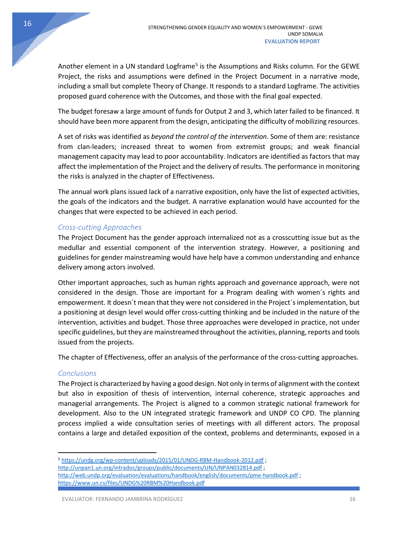Another element in a UN standard Logframe<sup>5</sup> is the Assumptions and Risks column. For the GEWE Project, the risks and assumptions were defined in the Project Document in a narrative mode, including a small but complete Theory of Change. It responds to a standard Logframe. The activities proposed guard coherence with the Outcomes, and those with the final goal expected.

The budget foresaw a large amount of funds for Output 2 and 3, which later failed to be financed. It should have been more apparent from the design, anticipating the difficulty of mobilizing resources.

A set of risks was identified as *beyond the control of the intervention*. Some of them are: resistance from clan-leaders; increased threat to women from extremist groups; and weak financial management capacity may lead to poor accountability. Indicators are identified as factors that may affect the implementation of the Project and the delivery of results. The performance in monitoring the risks is analyzed in the chapter of Effectiveness.

The annual work plans issued lack of a narrative exposition, only have the list of expected activities, the goals of the indicators and the budget. A narrative explanation would have accounted for the changes that were expected to be achieved in each period.

## <span id="page-16-0"></span>*Cross-cutting Approaches*

The Project Document has the gender approach internalized not as a crosscutting issue but as the medullar and essential component of the intervention strategy. However, a positioning and guidelines for gender mainstreaming would have help have a common understanding and enhance delivery among actors involved.

Other important approaches, such as human rights approach and governance approach, were not considered in the design. Those are important for a Program dealing with women´s rights and empowerment. It doesn´t mean that they were not considered in the Project´s implementation, but a positioning at design level would offer cross-cutting thinking and be included in the nature of the intervention, activities and budget. Those three approaches were developed in practice, not under specific guidelines, but they are mainstreamed throughout the activities, planning, reports and tools issued from the projects.

The chapter of Effectiveness, offer an analysis of the performance of the cross-cutting approaches.

#### <span id="page-16-1"></span>*Conclusions*

The Project is characterized by having a good design. Not only in terms of alignment with the context but also in exposition of thesis of intervention, internal coherence, strategic approaches and managerial arrangements. The Project is aligned to a common strategic national framework for development. Also to the UN integrated strategic framework and UNDP CO CPD. The planning process implied a wide consultation series of meetings with all different actors. The proposal contains a large and detailed exposition of the context, problems and determinants, exposed in a

<span id="page-16-2"></span> <sup>5</sup> <https://undg.org/wp-content/uploads/2015/01/UNDG-RBM-Handbook-2012.pdf> ;

<http://unpan1.un.org/intradoc/groups/public/documents/UN/UNPAN032814.pdf>;

<http://web.undp.org/evaluation/evaluations/handbook/english/documents/pme-handbook.pdf> ; <https://www.un.cv/files/UNDG%20RBM%20Handbook.pdf>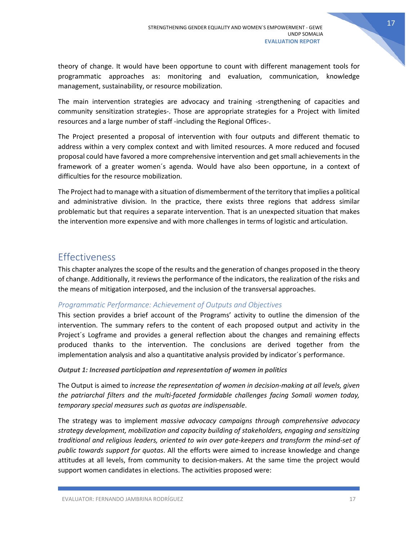theory of change. It would have been opportune to count with different management tools for programmatic approaches as: monitoring and evaluation, communication, knowledge management, sustainability, or resource mobilization.

The main intervention strategies are advocacy and training -strengthening of capacities and community sensitization strategies-. Those are appropriate strategies for a Project with limited resources and a large number of staff -including the Regional Offices-.

The Project presented a proposal of intervention with four outputs and different thematic to address within a very complex context and with limited resources. A more reduced and focused proposal could have favored a more comprehensive intervention and get small achievements in the framework of a greater women´s agenda. Would have also been opportune, in a context of difficulties for the resource mobilization.

The Project had to manage with a situation of dismemberment of the territory that implies a political and administrative division. In the practice, there exists three regions that address similar problematic but that requires a separate intervention. That is an unexpected situation that makes the intervention more expensive and with more challenges in terms of logistic and articulation.

# <span id="page-17-0"></span>Effectiveness

This chapter analyzes the scope of the results and the generation of changes proposed in the theory of change. Additionally, it reviews the performance of the indicators, the realization of the risks and the means of mitigation interposed, and the inclusion of the transversal approaches.

# <span id="page-17-1"></span>*Programmatic Performance: Achievement of Outputs and Objectives*

This section provides a brief account of the Programs' activity to outline the dimension of the intervention. The summary refers to the content of each proposed output and activity in the Project´s Logframe and provides a general reflection about the changes and remaining effects produced thanks to the intervention. The conclusions are derived together from the implementation analysis and also a quantitative analysis provided by indicator´s performance.

*Output 1: Increased participation and representation of women in politics*

The Output is aimed to *increase the representation of women in decision-making at all levels, given the patriarchal filters and the multi-faceted formidable challenges facing Somali women today, temporary special measures such as quotas are indispensable*.

The strategy was to implement *massive advocacy campaigns through comprehensive advocacy strategy development, mobilization and capacity building of stakeholders, engaging and sensitizing traditional and religious leaders, oriented to win over gate-keepers and transform the mind-set of public towards support for quotas*. All the efforts were aimed to increase knowledge and change attitudes at all levels, from community to decision-makers. At the same time the project would support women candidates in elections. The activities proposed were: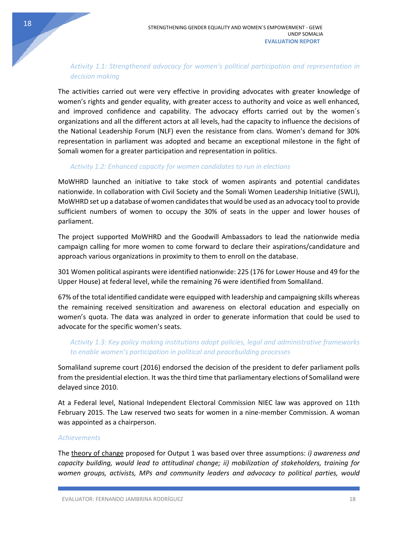## *Activity 1.1: Strengthened advocacy for women's political participation and representation in decision making*

The activities carried out were very effective in providing advocates with greater knowledge of women's rights and gender equality, with greater access to authority and voice as well enhanced, and improved confidence and capability. The advocacy efforts carried out by the women´s organizations and all the different actors at all levels, had the capacity to influence the decisions of the National Leadership Forum (NLF) even the resistance from clans. Women's demand for 30% representation in parliament was adopted and became an exceptional milestone in the fight of Somali women for a greater participation and representation in politics.

#### *Activity 1.2: Enhanced capacity for women candidates to run in elections*

MoWHRD launched an initiative to take stock of women aspirants and potential candidates nationwide. In collaboration with Civil Society and the Somali Women Leadership Initiative (SWLI), MoWHRD set up a database of women candidates that would be used as an advocacy tool to provide sufficient numbers of women to occupy the 30% of seats in the upper and lower houses of parliament.

The project supported MoWHRD and the Goodwill Ambassadors to lead the nationwide media campaign calling for more women to come forward to declare their aspirations/candidature and approach various organizations in proximity to them to enroll on the database.

301 Women political aspirants were identified nationwide: 225 (176 for Lower House and 49 for the Upper House) at federal level, while the remaining 76 were identified from Somaliland.

67% of the total identified candidate were equipped with leadership and campaigning skills whereas the remaining received sensitization and awareness on electoral education and especially on women's quota. The data was analyzed in order to generate information that could be used to advocate for the specific women's seats.

## *Activity 1.3: Key policy making institutions adopt policies, legal and administrative frameworks to enable women's participation in political and peacebuilding processes*

Somaliland supreme court (2016) endorsed the decision of the president to defer parliament polls from the presidential election. It was the third time that parliamentary elections of Somaliland were delayed since 2010.

At a Federal level, National Independent Electoral Commission NIEC law was approved on 11th February 2015. The Law reserved two seats for women in a nine-member Commission. A woman was appointed as a chairperson.

#### *Achievements*

The theory of change proposed for Output 1 was based over three assumptions: *i) awareness and capacity building, would lead to attitudinal change; ii) mobilization of stakeholders, training for women groups, activists, MPs and community leaders and advocacy to political parties, would*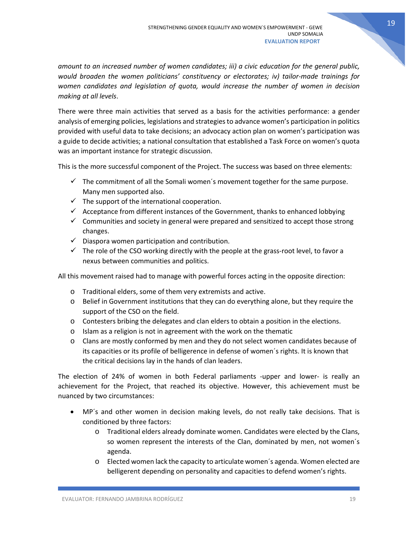*amount to an increased number of women candidates; iii) a civic education for the general public, would broaden the women politicians' constituency or electorates; iv) tailor-made trainings for women candidates and legislation of quota, would increase the number of women in decision making at all levels*.

There were three main activities that served as a basis for the activities performance: a gender analysis of emerging policies, legislations and strategies to advance women's participation in politics provided with useful data to take decisions; an advocacy action plan on women's participation was a guide to decide activities; a national consultation that established a Task Force on women's quota was an important instance for strategic discussion.

This is the more successful component of the Project. The success was based on three elements:

- $\checkmark$  The commitment of all the Somali women's movement together for the same purpose. Many men supported also.
- $\checkmark$  The support of the international cooperation.
- $\checkmark$  Acceptance from different instances of the Government, thanks to enhanced lobbying
- $\checkmark$  Communities and society in general were prepared and sensitized to accept those strong changes.
- $\checkmark$  Diaspora women participation and contribution.
- $\checkmark$  The role of the CSO working directly with the people at the grass-root level, to favor a nexus between communities and politics.

All this movement raised had to manage with powerful forces acting in the opposite direction:

- o Traditional elders, some of them very extremists and active.
- o Belief in Government institutions that they can do everything alone, but they require the support of the CSO on the field.
- o Contesters bribing the delegates and clan elders to obtain a position in the elections.
- o Islam as a religion is not in agreement with the work on the thematic
- o Clans are mostly conformed by men and they do not select women candidates because of its capacities or its profile of belligerence in defense of women´s rights. It is known that the critical decisions lay in the hands of clan leaders.

The election of 24% of women in both Federal parliaments -upper and lower- is really an achievement for the Project, that reached its objective. However, this achievement must be nuanced by two circumstances:

- MP´s and other women in decision making levels, do not really take decisions. That is conditioned by three factors:
	- o Traditional elders already dominate women. Candidates were elected by the Clans, so women represent the interests of the Clan, dominated by men, not women´s agenda.
	- o Elected women lack the capacity to articulate women´s agenda. Women elected are belligerent depending on personality and capacities to defend women's rights.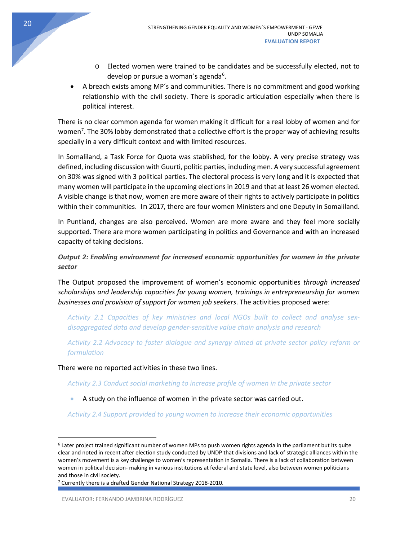- o Elected women were trained to be candidates and be successfully elected, not to develop or pursue a woman's agenda<sup>[6](#page-20-0)</sup>.
- A breach exists among MP´s and communities. There is no commitment and good working relationship with the civil society. There is sporadic articulation especially when there is political interest.

There is no clear common agenda for women making it difficult for a real lobby of women and for women<sup>[7](#page-20-1)</sup>. The 30% lobby demonstrated that a collective effort is the proper way of achieving results specially in a very difficult context and with limited resources.

In Somaliland, a Task Force for Quota was stablished, for the lobby. A very precise strategy was defined, including discussion with Guurti, politic parties, including men. A very successful agreement on 30% was signed with 3 political parties. The electoral process is very long and it is expected that many women will participate in the upcoming elections in 2019 and that at least 26 women elected. A visible change is that now, women are more aware of their rights to actively participate in politics within their communities. In 2017, there are four women Ministers and one Deputy in Somaliland.

In Puntland, changes are also perceived. Women are more aware and they feel more socially supported. There are more women participating in politics and Governance and with an increased capacity of taking decisions.

*Output 2: Enabling environment for increased economic opportunities for women in the private sector*

The Output proposed the improvement of women's economic opportunities *through increased scholarships and leadership capacities for young women, trainings in entrepreneurship for women businesses and provision of support for women job seekers*. The activities proposed were:

*Activity 2.1 Capacities of key ministries and local NGOs built to collect and analyse sexdisaggregated data and develop gender-sensitive value chain analysis and research*

*Activity 2.2 Advocacy to foster dialogue and synergy aimed at private sector policy reform or formulation*

There were no reported activities in these two lines.

*Activity 2.3 Conduct social marketing to increase profile of women in the private sector*

• A study on the influence of women in the private sector was carried out.

*Activity 2.4 Support provided to young women to increase their economic opportunities*

<span id="page-20-0"></span> <sup>6</sup> Later project trained significant number of women MPs to push women rights agenda in the parliament but its quite clear and noted in recent after election study conducted by UNDP that divisions and lack of strategic alliances within the women's movement is a key challenge to women's representation in Somalia. There is a lack of collaboration between women in political decision- making in various institutions at federal and state level, also between women politicians and those in civil society.

<span id="page-20-1"></span><sup>7</sup> Currently there is a drafted Gender National Strategy 2018-2010.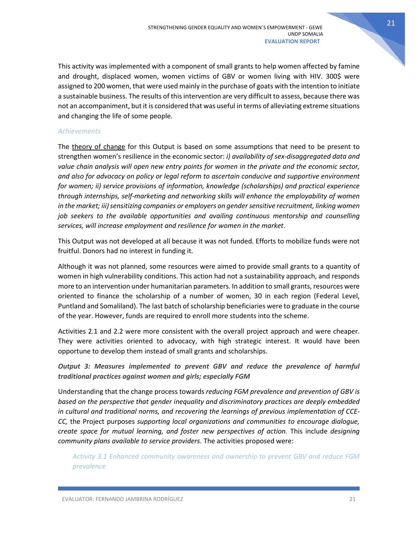This activity was implemented with a component of small grants to help women affected by famine and drought, displaced women, women victims of GBV or women living with HIV. 300\$ were assigned to 200 women, that were used mainly in the purchase of goats with the intention to initiate a sustainable business. The results of this intervention are very difficult to assess, because there was not an accompaniment, but it is considered that was useful in terms of alleviating extreme situations and changing the life of some people.

#### *Achievements*

The theory of change for this Output is based on some assumptions that need to be present to strengthen women's resilience in the economic sector: *i) availability of sex-disaggregated data and value chain analysis will open new entry points for women in the private and the economic sector, and also for advocacy on policy or legal reform to ascertain conducive and supportive environment for women; ii) service provisions of information, knowledge (scholarships) and practical experience through internships, self-marketing and networking skills will enhance the employability of women in the market; iii) sensitizing companies or employers on gender sensitive recruitment, linking women job seekers to the available opportunities and availing continuous mentorship and counselling services, will increase employment and resilience for women in the market*.

This Output was not developed at all because it was not funded. Efforts to mobilize funds were not fruitful. Donors had no interest in funding it.

Although it was not planned, some resources were aimed to provide small grants to a quantity of women in high vulnerability conditions. This action had not a sustainability approach, and responds more to an intervention under humanitarian parameters. In addition to small grants, resources were oriented to finance the scholarship of a number of women, 30 in each region (Federal Level, Puntland and Somaliland). The last batch of scholarship beneficiaries were to graduate in the course of the year. However, funds are required to enroll more students into the scheme.

Activities 2.1 and 2.2 were more consistent with the overall project approach and were cheaper. They were activities oriented to advocacy, with high strategic interest. It would have been opportune to develop them instead of small grants and scholarships.

*Output 3: Measures implemented to prevent GBV and reduce the prevalence of harmful traditional practices against women and girls; especially FGM*

Understanding that the change process towards *reducing FGM prevalence and prevention of GBV is based on the perspective that gender inequality and discriminatory practices are deeply embedded in cultural and traditional norms, and recovering the learnings of previous implementation of CCE-CC,* the Project purposes *supporting local organizations and communities to encourage dialogue, create space for mutual learning, and foster new perspectives of action.* This include *designing community plans available to service providers*. The activities proposed were:

*Activity 3.1 Enhanced community awareness and ownership to prevent GBV and reduce FGM prevalence*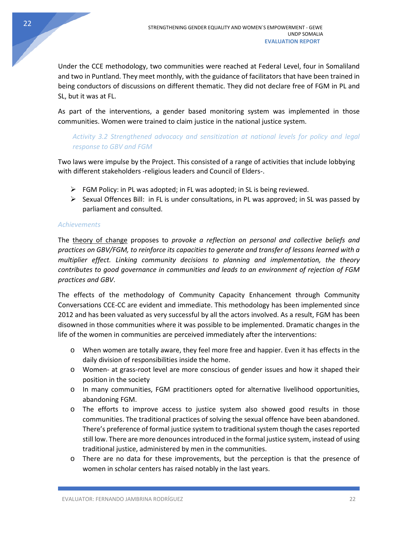22

Under the CCE methodology, two communities were reached at Federal Level, four in Somaliland and two in Puntland. They meet monthly, with the guidance of facilitators that have been trained in being conductors of discussions on different thematic. They did not declare free of FGM in PL and SL, but it was at FL.

As part of the interventions, a gender based monitoring system was implemented in those communities. Women were trained to claim justice in the national justice system.

## *Activity 3.2 Strengthened advocacy and sensitization at national levels for policy and legal response to GBV and FGM*

Two laws were impulse by the Project. This consisted of a range of activities that include lobbying with different stakeholders -religious leaders and Council of Elders-.

- $\triangleright$  FGM Policy: in PL was adopted; in FL was adopted; in SL is being reviewed.
- $\triangleright$  Sexual Offences Bill: in FL is under consultations, in PL was approved; in SL was passed by parliament and consulted.

#### *Achievements*

The theory of change proposes to *provoke a reflection on personal and collective beliefs and practices on GBV/FGM, to reinforce its capacities to generate and transfer of lessons learned with a multiplier effect. Linking community decisions to planning and implementation, the theory contributes to good governance in communities and leads to an environment of rejection of FGM practices and GBV*.

The effects of the methodology of Community Capacity Enhancement through Community Conversations CCE-CC are evident and immediate. This methodology has been implemented since 2012 and has been valuated as very successful by all the actors involved. As a result, FGM has been disowned in those communities where it was possible to be implemented. Dramatic changes in the life of the women in communities are perceived immediately after the interventions:

- o When women are totally aware, they feel more free and happier. Even it has effects in the daily division of responsibilities inside the home.
- o Women- at grass-root level are more conscious of gender issues and how it shaped their position in the society
- o In many communities, FGM practitioners opted for alternative livelihood opportunities, abandoning FGM.
- o The efforts to improve access to justice system also showed good results in those communities. The traditional practices of solving the sexual offence have been abandoned. There's preference of formal justice system to traditional system though the cases reported still low. There are more denounces introduced in the formal justice system, instead of using traditional justice, administered by men in the communities.
- o There are no data for these improvements, but the perception is that the presence of women in scholar centers has raised notably in the last years.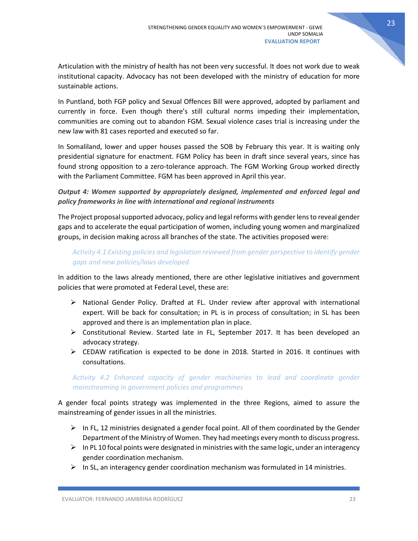Articulation with the ministry of health has not been very successful. It does not work due to weak institutional capacity. Advocacy has not been developed with the ministry of education for more sustainable actions.

In Puntland, both FGP policy and Sexual Offences Bill were approved, adopted by parliament and currently in force. Even though there's still cultural norms impeding their implementation, communities are coming out to abandon FGM. Sexual violence cases trial is increasing under the new law with 81 cases reported and executed so far.

In Somaliland, lower and upper houses passed the SOB by February this year. It is waiting only presidential signature for enactment. FGM Policy has been in draft since several years, since has found strong opposition to a zero-tolerance approach. The FGM Working Group worked directly with the Parliament Committee. FGM has been approved in April this year.

*Output 4: Women supported by appropriately designed, implemented and enforced legal and policy frameworks in line with international and regional instruments*

The Project proposal supported advocacy, policy and legal reforms with gender lens to reveal gender gaps and to accelerate the equal participation of women, including young women and marginalized groups, in decision making across all branches of the state. The activities proposed were:

## *Activity 4.1 Existing policies and legislation reviewed from gender perspective to identify gender gaps and new policies/laws developed*

In addition to the laws already mentioned, there are other legislative initiatives and government policies that were promoted at Federal Level, these are:

- $\triangleright$  National Gender Policy. Drafted at FL. Under review after approval with international expert. Will be back for consultation; in PL is in process of consultation; in SL has been approved and there is an implementation plan in place.
- Constitutional Review. Started late in FL, September 2017. It has been developed an advocacy strategy.
- $\triangleright$  CEDAW ratification is expected to be done in 2018. Started in 2016. It continues with consultations.

## *Activity 4.2 Enhanced capacity of gender machineries to lead and coordinate gender mainstreaming in government policies and programmes*

A gender focal points strategy was implemented in the three Regions, aimed to assure the mainstreaming of gender issues in all the ministries.

- $\triangleright$  In FL, 12 ministries designated a gender focal point. All of them coordinated by the Gender Department of the Ministry of Women. They had meetings every month to discuss progress.
- $\triangleright$  In PL 10 focal points were designated in ministries with the same logic, under an interagency gender coordination mechanism.
- $\triangleright$  In SL, an interagency gender coordination mechanism was formulated in 14 ministries.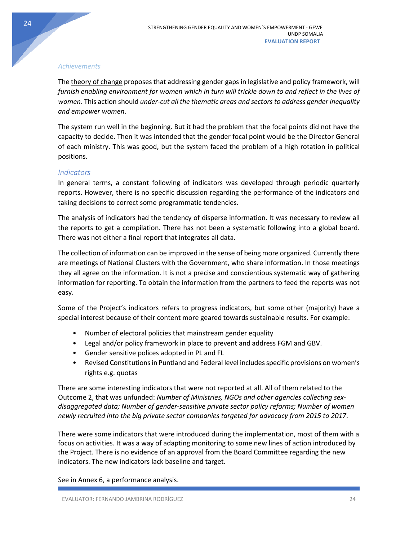#### *Achievements*

The theory of change proposes that addressing gender gaps in legislative and policy framework, will *furnish enabling environment for women which in turn will trickle down to and reflect in the lives of women*. This action should *under-cut all the thematic areas and sectors to address gender inequality and empower women*.

The system run well in the beginning. But it had the problem that the focal points did not have the capacity to decide. Then it was intended that the gender focal point would be the Director General of each ministry. This was good, but the system faced the problem of a high rotation in political positions.

#### <span id="page-24-0"></span>*Indicators*

In general terms, a constant following of indicators was developed through periodic quarterly reports. However, there is no specific discussion regarding the performance of the indicators and taking decisions to correct some programmatic tendencies.

The analysis of indicators had the tendency of disperse information. It was necessary to review all the reports to get a compilation. There has not been a systematic following into a global board. There was not either a final report that integrates all data.

The collection of information can be improved in the sense of being more organized. Currently there are meetings of National Clusters with the Government, who share information. In those meetings they all agree on the information. It is not a precise and conscientious systematic way of gathering information for reporting. To obtain the information from the partners to feed the reports was not easy.

Some of the Project's indicators refers to progress indicators, but some other (majority) have a special interest because of their content more geared towards sustainable results. For example:

- Number of electoral policies that mainstream gender equality
- Legal and/or policy framework in place to prevent and address FGM and GBV.
- Gender sensitive polices adopted in PL and FL
- Revised Constitutions in Puntland and Federal level includes specific provisions on women's rights e.g. quotas

There are some interesting indicators that were not reported at all. All of them related to the Outcome 2, that was unfunded: *Number of Ministries, NGOs and other agencies collecting sexdisaggregated data; Number of gender-sensitive private sector policy reforms; Number of women newly recruited into the big private sector companies targeted for advocacy from 2015 to 2017*.

There were some indicators that were introduced during the implementation, most of them with a focus on activities. It was a way of adapting monitoring to some new lines of action introduced by the Project. There is no evidence of an approval from the Board Committee regarding the new indicators. The new indicators lack baseline and target.

See in Annex 6, a performance analysis.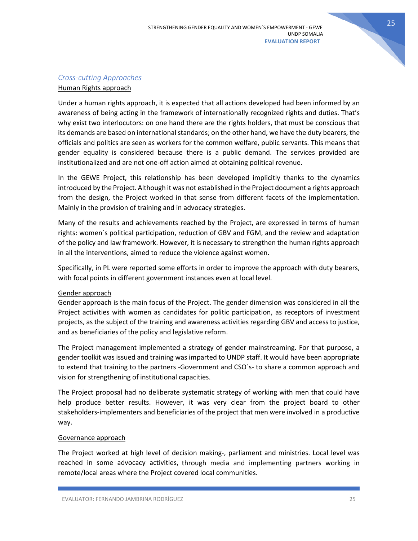<span id="page-25-0"></span>

#### Human Rights approach

Under a human rights approach, it is expected that all actions developed had been informed by an awareness of being acting in the framework of internationally recognized rights and duties. That's why exist two interlocutors: on one hand there are the rights holders, that must be conscious that its demands are based on international standards; on the other hand, we have the duty bearers, the officials and politics are seen as workers for the common welfare, public servants. This means that gender equality is considered because there is a public demand. The services provided are institutionalized and are not one-off action aimed at obtaining political revenue.

In the GEWE Project, this relationship has been developed implicitly thanks to the dynamics introduced by the Project. Although it was not established in the Project document a rights approach from the design, the Project worked in that sense from different facets of the implementation. Mainly in the provision of training and in advocacy strategies.

Many of the results and achievements reached by the Project, are expressed in terms of human rights: women´s political participation, reduction of GBV and FGM, and the review and adaptation of the policy and law framework. However, it is necessary to strengthen the human rights approach in all the interventions, aimed to reduce the violence against women.

Specifically, in PL were reported some efforts in order to improve the approach with duty bearers, with focal points in different government instances even at local level.

#### Gender approach

Gender approach is the main focus of the Project. The gender dimension was considered in all the Project activities with women as candidates for politic participation, as receptors of investment projects, as the subject of the training and awareness activities regarding GBV and access to justice, and as beneficiaries of the policy and legislative reform.

The Project management implemented a strategy of gender mainstreaming. For that purpose, a gender toolkit was issued and training was imparted to UNDP staff. It would have been appropriate to extend that training to the partners -Government and CSO´s- to share a common approach and vision for strengthening of institutional capacities.

The Project proposal had no deliberate systematic strategy of working with men that could have help produce better results. However, it was very clear from the project board to other stakeholders-implementers and beneficiaries of the project that men were involved in a productive way.

#### Governance approach

The Project worked at high level of decision making-, parliament and ministries. Local level was reached in some advocacy activities, through media and implementing partners working in remote/local areas where the Project covered local communities.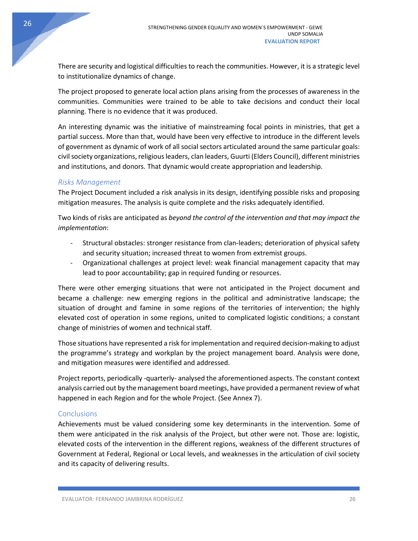There are security and logistical difficulties to reach the communities. However, it is a strategic level to institutionalize dynamics of change.

The project proposed to generate local action plans arising from the processes of awareness in the communities. Communities were trained to be able to take decisions and conduct their local planning. There is no evidence that it was produced.

An interesting dynamic was the initiative of mainstreaming focal points in ministries, that get a partial success. More than that, would have been very effective to introduce in the different levels of government as dynamic of work of all social sectors articulated around the same particular goals: civil society organizations, religious leaders, clan leaders, Guurti (Elders Council), different ministries and institutions, and donors. That dynamic would create appropriation and leadership.

#### <span id="page-26-0"></span>*Risks Management*

The Project Document included a risk analysis in its design, identifying possible risks and proposing mitigation measures. The analysis is quite complete and the risks adequately identified.

Two kinds of risks are anticipated as *beyond the control of the intervention and that may impact the implementation*:

- Structural obstacles: stronger resistance from clan-leaders; deterioration of physical safety and security situation; increased threat to women from extremist groups.
- Organizational challenges at project level: weak financial management capacity that may lead to poor accountability; gap in required funding or resources.

There were other emerging situations that were not anticipated in the Project document and became a challenge: new emerging regions in the political and administrative landscape; the situation of drought and famine in some regions of the territories of intervention; the highly elevated cost of operation in some regions, united to complicated logistic conditions; a constant change of ministries of women and technical staff.

Those situations have represented a risk for implementation and required decision-making to adjust the programme's strategy and workplan by the project management board. Analysis were done, and mitigation measures were identified and addressed.

Project reports, periodically -quarterly- analysed the aforementioned aspects. The constant context analysis carried out by the management board meetings, have provided a permanent review of what happened in each Region and for the whole Project. (See Annex 7).

#### <span id="page-26-1"></span>**Conclusions**

Achievements must be valued considering some key determinants in the intervention. Some of them were anticipated in the risk analysis of the Project, but other were not. Those are: logistic, elevated costs of the intervention in the different regions, weakness of the different structures of Government at Federal, Regional or Local levels, and weaknesses in the articulation of civil society and its capacity of delivering results.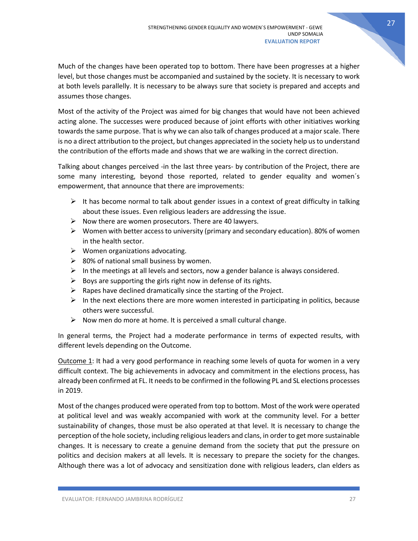Much of the changes have been operated top to bottom. There have been progresses at a higher level, but those changes must be accompanied and sustained by the society. It is necessary to work at both levels parallelly. It is necessary to be always sure that society is prepared and accepts and assumes those changes.

Most of the activity of the Project was aimed for big changes that would have not been achieved acting alone. The successes were produced because of joint efforts with other initiatives working towards the same purpose. That is why we can also talk of changes produced at a major scale. There is no a direct attribution to the project, but changes appreciated in the society help us to understand the contribution of the efforts made and shows that we are walking in the correct direction.

Talking about changes perceived -in the last three years- by contribution of the Project, there are some many interesting, beyond those reported, related to gender equality and women´s empowerment, that announce that there are improvements:

- $\triangleright$  It has become normal to talk about gender issues in a context of great difficulty in talking about these issues. Even religious leaders are addressing the issue.
- $\triangleright$  Now there are women prosecutors. There are 40 lawyers.
- $\triangleright$  Women with better access to university (primary and secondary education). 80% of women in the health sector.
- $\triangleright$  Women organizations advocating.
- $\geq$  80% of national small business by women.
- $\triangleright$  In the meetings at all levels and sectors, now a gender balance is always considered.
- $\triangleright$  Boys are supporting the girls right now in defense of its rights.
- $\triangleright$  Rapes have declined dramatically since the starting of the Project.
- $\triangleright$  In the next elections there are more women interested in participating in politics, because others were successful.
- $\triangleright$  Now men do more at home. It is perceived a small cultural change.

In general terms, the Project had a moderate performance in terms of expected results, with different levels depending on the Outcome.

Outcome 1: It had a very good performance in reaching some levels of quota for women in a very difficult context. The big achievements in advocacy and commitment in the elections process, has already been confirmed at FL. It needsto be confirmed in the following PL and SL elections processes in 2019.

Most of the changes produced were operated from top to bottom. Most of the work were operated at political level and was weakly accompanied with work at the community level. For a better sustainability of changes, those must be also operated at that level. It is necessary to change the perception of the hole society, including religious leaders and clans, in order to get more sustainable changes. It is necessary to create a genuine demand from the society that put the pressure on politics and decision makers at all levels. It is necessary to prepare the society for the changes. Although there was a lot of advocacy and sensitization done with religious leaders, clan elders as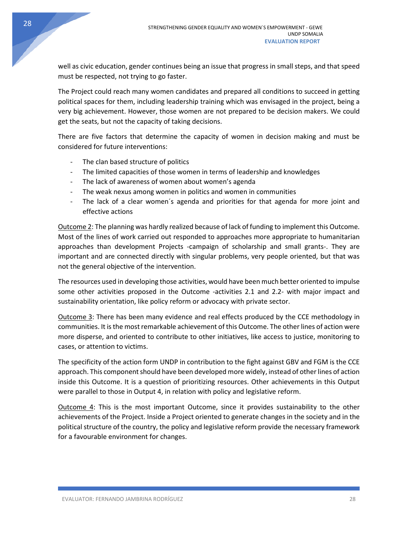well as civic education, gender continues being an issue that progress in small steps, and that speed must be respected, not trying to go faster.

The Project could reach many women candidates and prepared all conditions to succeed in getting political spaces for them, including leadership training which was envisaged in the project, being a very big achievement. However, those women are not prepared to be decision makers. We could get the seats, but not the capacity of taking decisions.

There are five factors that determine the capacity of women in decision making and must be considered for future interventions:

- The clan based structure of politics
- The limited capacities of those women in terms of leadership and knowledges
- The lack of awareness of women about women's agenda
- The weak nexus among women in politics and women in communities
- The lack of a clear women's agenda and priorities for that agenda for more joint and effective actions

Outcome 2: The planning was hardly realized because of lack of funding to implement this Outcome. Most of the lines of work carried out responded to approaches more appropriate to humanitarian approaches than development Projects -campaign of scholarship and small grants-. They are important and are connected directly with singular problems, very people oriented, but that was not the general objective of the intervention.

The resources used in developing those activities, would have been much better oriented to impulse some other activities proposed in the Outcome -activities 2.1 and 2.2- with major impact and sustainability orientation, like policy reform or advocacy with private sector.

Outcome 3: There has been many evidence and real effects produced by the CCE methodology in communities. It is the most remarkable achievement of this Outcome. The other lines of action were more disperse, and oriented to contribute to other initiatives, like access to justice, monitoring to cases, or attention to victims.

The specificity of the action form UNDP in contribution to the fight against GBV and FGM is the CCE approach. This component should have been developed more widely, instead of other lines of action inside this Outcome. It is a question of prioritizing resources. Other achievements in this Output were parallel to those in Output 4, in relation with policy and legislative reform.

Outcome 4: This is the most important Outcome, since it provides sustainability to the other achievements of the Project. Inside a Project oriented to generate changes in the society and in the political structure of the country, the policy and legislative reform provide the necessary framework for a favourable environment for changes.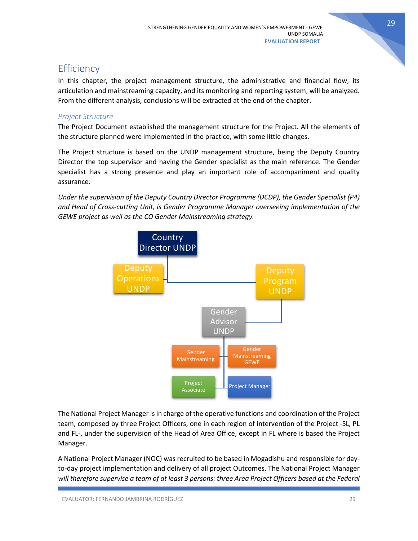<span id="page-29-0"></span>In this chapter, the project management structure, the administrative and financial flow, its articulation and mainstreaming capacity, and its monitoring and reporting system, will be analyzed. From the different analysis, conclusions will be extracted at the end of the chapter.

# <span id="page-29-1"></span>*Project Structure*

The Project Document established the management structure for the Project. All the elements of the structure planned were implemented in the practice, with some little changes.

The Project structure is based on the UNDP management structure, being the Deputy Country Director the top supervisor and having the Gender specialist as the main reference. The Gender specialist has a strong presence and play an important role of accompaniment and quality assurance.

*Under the supervision of the Deputy Country Director Programme (DCDP), the Gender Specialist (P4) and Head of Cross-cutting Unit, is Gender Programme Manager overseeing implementation of the GEWE project as well as the CO Gender Mainstreaming strategy.* 



The National Project Manager is in charge of the operative functions and coordination of the Project team, composed by three Project Officers, one in each region of intervention of the Project -SL, PL and FL-, under the supervision of the Head of Area Office, except in FL where is based the Project Manager.

A National Project Manager (NOC) was recruited to be based in Mogadishu and responsible for dayto-day project implementation and delivery of all project Outcomes. The National Project Manager *will therefore supervise a team of at least 3 persons: three Area Project Officers based at the Federal*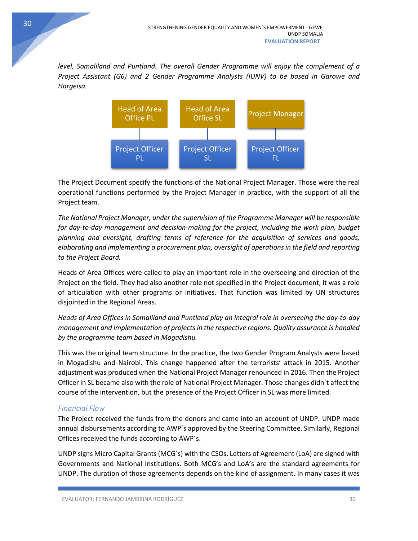*level, Somaliland and Puntland. The overall Gender Programme will enjoy the complement of a Project Assistant (G6) and 2 Gender Programme Analysts (IUNV) to be based in Garowe and Hargeisa.*



The Project Document specify the functions of the National Project Manager. Those were the real operational functions performed by the Project Manager in practice, with the support of all the Project team.

*The National Project Manager, under the supervision of the Programme Manager will be responsible for day-to-day management and decision-making for the project, including the work plan, budget planning and oversight, drafting terms of reference for the acquisition of services and goods, elaborating and implementing a procurement plan, oversight of operations in the field and reporting to the Project Board.*

Heads of Area Offices were called to play an important role in the overseeing and direction of the Project on the field. They had also another role not specified in the Project document, it was a role of articulation with other programs or initiatives. That function was limited by UN structures disjointed in the Regional Areas.

*Heads of Area Offices in Somaliland and Puntland play an integral role in overseeing the day-to-day management and implementation of projects in the respective regions. Quality assurance is handled by the programme team based in Mogadishu.*

This was the original team structure. In the practice, the two Gender Program Analysts were based in Mogadishu and Nairobi. This change happened after the terrorists' attack in 2015. Another adjustment was produced when the National Project Manager renounced in 2016. Then the Project Officer in SL became also with the role of National Project Manager. Those changes didn´t affect the course of the intervention, but the presence of the Project Officer in SL was more limited.

## <span id="page-30-0"></span>*Financial Flow*

The Project received the funds from the donors and came into an account of UNDP. UNDP made annual disbursements according to AWP´s approved by the Steering Committee. Similarly, Regional Offices received the funds according to AWP´s.

UNDP signs Micro Capital Grants (MCG´s) with the CSOs. Letters of Agreement (LoA) are signed with Governments and National Institutions. Both MCG's and LoA's are the standard agreements for UNDP. The duration of those agreements depends on the kind of assignment. In many cases it was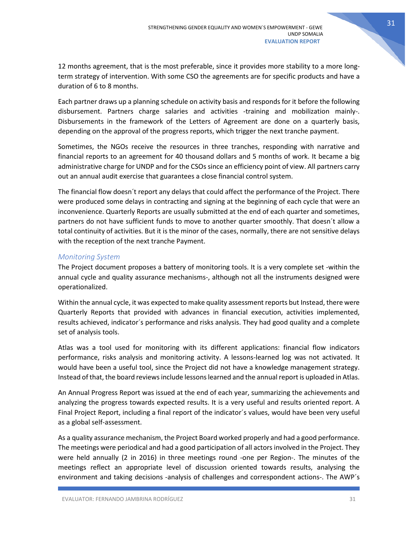12 months agreement, that is the most preferable, since it provides more stability to a more longterm strategy of intervention. With some CSO the agreements are for specific products and have a duration of 6 to 8 months.

Each partner draws up a planning schedule on activity basis and responds for it before the following disbursement. Partners charge salaries and activities -training and mobilization mainly-. Disbursements in the framework of the Letters of Agreement are done on a quarterly basis, depending on the approval of the progress reports, which trigger the next tranche payment.

Sometimes, the NGOs receive the resources in three tranches, responding with narrative and financial reports to an agreement for 40 thousand dollars and 5 months of work. It became a big administrative charge for UNDP and for the CSOs since an efficiency point of view. All partners carry out an annual audit exercise that guarantees a close financial control system.

The financial flow doesn´t report any delays that could affect the performance of the Project. There were produced some delays in contracting and signing at the beginning of each cycle that were an inconvenience. Quarterly Reports are usually submitted at the end of each quarter and sometimes, partners do not have sufficient funds to move to another quarter smoothly. That doesn´t allow a total continuity of activities. But it is the minor of the cases, normally, there are not sensitive delays with the reception of the next tranche Payment.

## <span id="page-31-0"></span>*Monitoring System*

The Project document proposes a battery of monitoring tools. It is a very complete set -within the annual cycle and quality assurance mechanisms-, although not all the instruments designed were operationalized.

Within the annual cycle, it was expected to make quality assessment reports but Instead, there were Quarterly Reports that provided with advances in financial execution, activities implemented, results achieved, indicator´s performance and risks analysis. They had good quality and a complete set of analysis tools.

Atlas was a tool used for monitoring with its different applications: financial flow indicators performance, risks analysis and monitoring activity. A lessons-learned log was not activated. It would have been a useful tool, since the Project did not have a knowledge management strategy. Instead of that, the board reviews include lessons learned and the annual report is uploaded in Atlas.

An Annual Progress Report was issued at the end of each year, summarizing the achievements and analyzing the progress towards expected results. It is a very useful and results oriented report. A Final Project Report, including a final report of the indicator´s values, would have been very useful as a global self-assessment.

As a quality assurance mechanism, the Project Board worked properly and had a good performance. The meetings were periodical and had a good participation of all actors involved in the Project. They were held annually (2 in 2016) in three meetings round -one per Region-. The minutes of the meetings reflect an appropriate level of discussion oriented towards results, analysing the environment and taking decisions -analysis of challenges and correspondent actions-. The AWP´s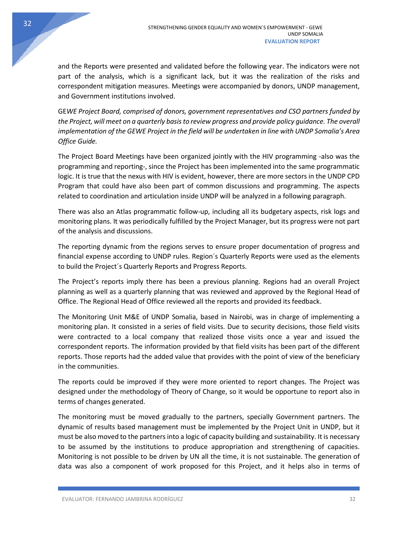and the Reports were presented and validated before the following year. The indicators were not part of the analysis, which is a significant lack, but it was the realization of the risks and correspondent mitigation measures. Meetings were accompanied by donors, UNDP management, and Government institutions involved.

GE*WE Project Board, comprised of donors, government representatives and CSO partners funded by the Project, will meet on a quarterly basis to review progress and provide policy guidance. The overall implementation of the GEWE Project in the field will be undertaken in line with UNDP Somalia's Area Office Guide.*

The Project Board Meetings have been organized jointly with the HIV programming -also was the programming and reporting-, since the Project has been implemented into the same programmatic logic. It is true that the nexus with HIV is evident, however, there are more sectors in the UNDP CPD Program that could have also been part of common discussions and programming. The aspects related to coordination and articulation inside UNDP will be analyzed in a following paragraph.

There was also an Atlas programmatic follow-up, including all its budgetary aspects, risk logs and monitoring plans. It was periodically fulfilled by the Project Manager, but its progress were not part of the analysis and discussions.

The reporting dynamic from the regions serves to ensure proper documentation of progress and financial expense according to UNDP rules. Region´s Quarterly Reports were used as the elements to build the Project´s Quarterly Reports and Progress Reports.

The Project's reports imply there has been a previous planning. Regions had an overall Project planning as well as a quarterly planning that was reviewed and approved by the Regional Head of Office. The Regional Head of Office reviewed all the reports and provided its feedback.

The Monitoring Unit M&E of UNDP Somalia, based in Nairobi, was in charge of implementing a monitoring plan. It consisted in a series of field visits. Due to security decisions, those field visits were contracted to a local company that realized those visits once a year and issued the correspondent reports. The information provided by that field visits has been part of the different reports. Those reports had the added value that provides with the point of view of the beneficiary in the communities.

The reports could be improved if they were more oriented to report changes. The Project was designed under the methodology of Theory of Change, so it would be opportune to report also in terms of changes generated.

The monitoring must be moved gradually to the partners, specially Government partners. The dynamic of results based management must be implemented by the Project Unit in UNDP, but it must be also moved to the partners into a logic of capacity building and sustainability. It is necessary to be assumed by the institutions to produce appropriation and strengthening of capacities. Monitoring is not possible to be driven by UN all the time, it is not sustainable. The generation of data was also a component of work proposed for this Project, and it helps also in terms of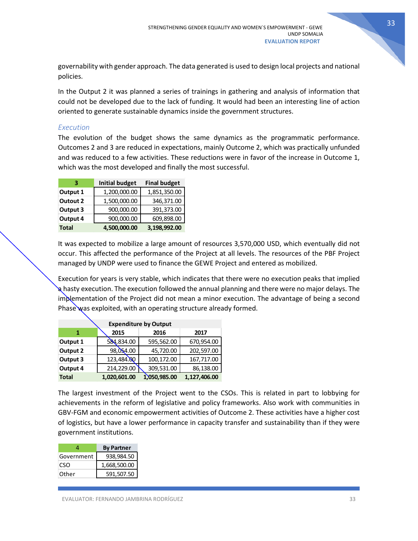governability with gender approach. The data generated is used to design local projects and national policies.

In the Output 2 it was planned a series of trainings in gathering and analysis of information that could not be developed due to the lack of funding. It would had been an interesting line of action oriented to generate sustainable dynamics inside the government structures.

#### <span id="page-33-0"></span>*Execution*

The evolution of the budget shows the same dynamics as the programmatic performance. Outcomes 2 and 3 are reduced in expectations, mainly Outcome 2, which was practically unfunded and was reduced to a few activities. These reductions were in favor of the increase in Outcome 1, which was the most developed and finally the most successful.

| з            | <b>Initial budget</b> | <b>Final budget</b> |  |
|--------------|-----------------------|---------------------|--|
| Output 1     | 1,200,000.00          | 1,851,350.00        |  |
| Outout 2     | 1,500,000.00          | 346,371.00          |  |
| Output 3     | 900,000.00            | 391,373.00          |  |
| Output 4     | 900,000.00            | 609,898.00          |  |
| <b>Total</b> | 4,500,000.00          | 3,198,992.00        |  |

It was expected to mobilize a large amount of resources 3,570,000 USD, which eventually did not occur. This affected the performance of the Project at all levels. The resources of the PBF Project managed by UNDP were used to finance the GEWE Project and entered as mobilized.

Execution for years is very stable, which indicates that there were no execution peaks that implied a hasty execution. The execution followed the annual planning and there were no major delays. The implementation of the Project did not mean a minor execution. The advantage of being a second Phase was exploited, with an operating structure already formed.

| <b>Expenditure by Output</b> |              |              |              |  |  |
|------------------------------|--------------|--------------|--------------|--|--|
| 1                            | 2015         | 2016         | 2017         |  |  |
| Output 1                     | 584,834.00   | 595,562.00   | 670,954.00   |  |  |
| Output 2                     | 98,054.00    | 45,720.00    | 202,597.00   |  |  |
| Output 3                     | 123,484.00   | 100,172.00   | 167,717.00   |  |  |
| Output 4                     | 214,229.00   | 309,531.00   | 86,138.00    |  |  |
| <b>Total</b>                 | 1,020,601.00 | 1,050,985.00 | 1,127,406.00 |  |  |

The largest investment of the Project went to the CSOs. This is related in part to lobbying for achievements in the reform of legislative and policy frameworks. Also work with communities in GBV-FGM and economic empowerment activities of Outcome 2. These activities have a higher cost of logistics, but have a lower performance in capacity transfer and sustainability than if they were government institutions.

| Δ          | <b>By Partner</b> |
|------------|-------------------|
| Government | 938,984.50        |
| CSO        | 1,668,500.00      |
| Other      | 591.507.50        |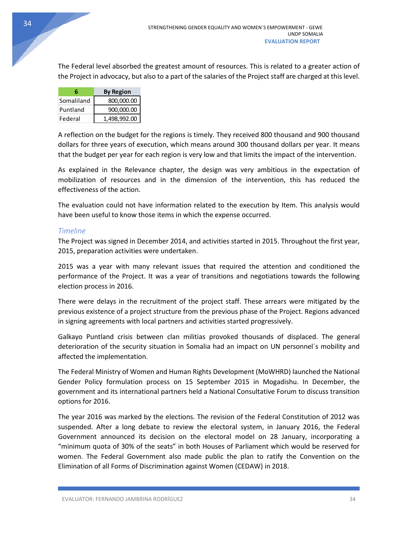The Federal level absorbed the greatest amount of resources. This is related to a greater action of the Project in advocacy, but also to a part of the salaries of the Project staff are charged at this level.

| 6          | <b>By Region</b> |
|------------|------------------|
| Somaliland | 800,000.00       |
| Puntland   | 900,000.00       |
| Federal    | 1,498,992.00     |

A reflection on the budget for the regions is timely. They received 800 thousand and 900 thousand dollars for three years of execution, which means around 300 thousand dollars per year. It means that the budget per year for each region is very low and that limits the impact of the intervention.

As explained in the Relevance chapter, the design was very ambitious in the expectation of mobilization of resources and in the dimension of the intervention, this has reduced the effectiveness of the action.

The evaluation could not have information related to the execution by Item. This analysis would have been useful to know those items in which the expense occurred.

#### <span id="page-34-0"></span>*Timeline*

The Project was signed in December 2014, and activities started in 2015. Throughout the first year, 2015, preparation activities were undertaken.

2015 was a year with many relevant issues that required the attention and conditioned the performance of the Project. It was a year of transitions and negotiations towards the following election process in 2016.

There were delays in the recruitment of the project staff. These arrears were mitigated by the previous existence of a project structure from the previous phase of the Project. Regions advanced in signing agreements with local partners and activities started progressively.

Galkayo Puntland crisis between clan militias provoked thousands of displaced. The general deterioration of the security situation in Somalia had an impact on UN personnel´s mobility and affected the implementation.

The Federal Ministry of Women and Human Rights Development (MoWHRD) launched the National Gender Policy formulation process on 15 September 2015 in Mogadishu. In December, the government and its international partners held a National Consultative Forum to discuss transition options for 2016.

The year 2016 was marked by the elections. The revision of the Federal Constitution of 2012 was suspended. After a long debate to review the electoral system, in January 2016, the Federal Government announced its decision on the electoral model on 28 January, incorporating a "minimum quota of 30% of the seats" in both Houses of Parliament which would be reserved for women. The Federal Government also made public the plan to ratify the Convention on the Elimination of all Forms of Discrimination against Women (CEDAW) in 2018.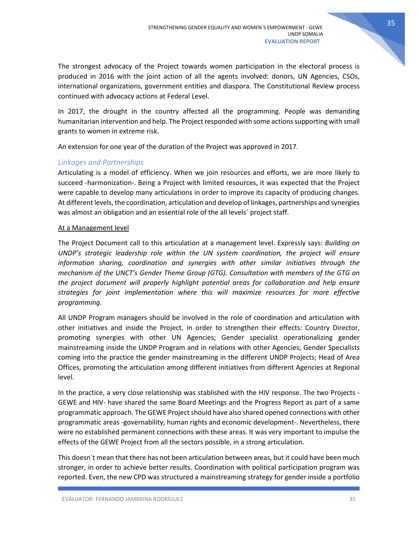The strongest advocacy of the Project towards women participation in the electoral process is produced in 2016 with the joint action of all the agents involved: donors, UN Agencies, CSOs, international organizations, government entities and diaspora. The Constitutional Review process continued with advocacy actions at Federal Level.

In 2017, the drought in the country affected all the programming. People was demanding humanitarian intervention and help. The Project responded with some actions supporting with small grants to women in extreme risk.

An extension for one year of the duration of the Project was approved in 2017.

#### <span id="page-35-0"></span>*Linkages and Partnerships*

Articulating is a model of efficiency. When we join resources and efforts, we are more likely to succeed -harmonization-. Being a Project with limited resources, it was expected that the Project were capable to develop many articulations in order to improve its capacity of producing changes. At different levels, the coordination, articulation and develop of linkages, partnerships and synergies was almost an obligation and an essential role of the all levels´ project staff.

#### At a Management level

The Project Document call to this articulation at a management level. Expressly says: *Building on UNDP's strategic leadership role within the UN system coordination, the project will ensure information sharing, coordination and synergies with other similar initiatives through the mechanism of the UNCT's Gender Theme Group (GTG). Consultation with members of the GTG on the project document will properly highlight potential areas for collaboration and help ensure strategies for joint implementation where this will maximize resources for more effective programming.* 

All UNDP Program managers should be involved in the role of coordination and articulation with other initiatives and inside the Project, in order to strengthen their effects: Country Director, promoting synergies with other UN Agencies; Gender specialist operationalizing gender mainstreaming inside the UNDP Program and in relations with other Agencies; Gender Specialists coming into the practice the gender mainstreaming in the different UNDP Projects; Head of Area Offices, promoting the articulation among different initiatives from different Agencies at Regional level.

In the practice, a very close relationship was stablished with the HIV response. The two Projects - GEWE and HIV- have shared the same Board Meetings and the Progress Report as part of a same programmatic approach. The GEWE Project should have also shared opened connections with other programmatic areas -governability, human rights and economic development-. Nevertheless, there were no established permanent connections with these areas. It was very important to impulse the effects of the GEWE Project from all the sectors possible, in a strong articulation.

This doesn´t mean that there has not been articulation between areas, but it could have been much stronger, in order to achieve better results. Coordination with political participation program was reported. Even, the new CPD was structured a mainstreaming strategy for gender inside a portfolio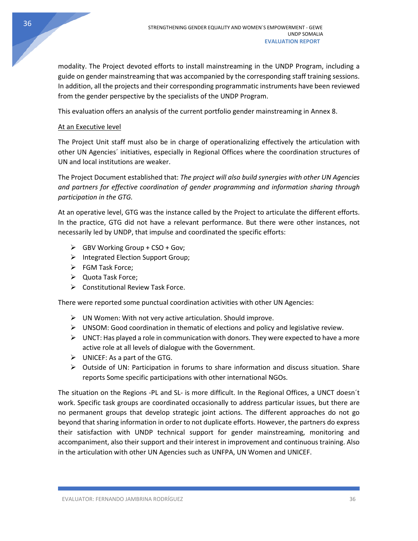modality. The Project devoted efforts to install mainstreaming in the UNDP Program, including a guide on gender mainstreaming that was accompanied by the corresponding staff training sessions. In addition, all the projects and their corresponding programmatic instruments have been reviewed from the gender perspective by the specialists of the UNDP Program.

This evaluation offers an analysis of the current portfolio gender mainstreaming in Annex 8.

#### At an Executive level

The Project Unit staff must also be in charge of operationalizing effectively the articulation with other UN Agencies´ initiatives, especially in Regional Offices where the coordination structures of UN and local institutions are weaker.

The Project Document established that: *The project will also build synergies with other UN Agencies and partners for effective coordination of gender programming and information sharing through participation in the GTG.*

At an operative level, GTG was the instance called by the Project to articulate the different efforts. In the practice, GTG did not have a relevant performance. But there were other instances, not necessarily led by UNDP, that impulse and coordinated the specific efforts:

- $\triangleright$  GBV Working Group + CSO + Gov;
- $\triangleright$  Integrated Election Support Group;
- > FGM Task Force;
- $\triangleright$  Quota Task Force:
- $\triangleright$  Constitutional Review Task Force.

There were reported some punctual coordination activities with other UN Agencies:

- $\triangleright$  UN Women: With not very active articulation. Should improve.
- $\triangleright$  UNSOM: Good coordination in thematic of elections and policy and legislative review.
- $\triangleright$  UNCT: Has played a role in communication with donors. They were expected to have a more active role at all levels of dialogue with the Government.
- $\triangleright$  UNICEF: As a part of the GTG.
- $\triangleright$  Outside of UN: Participation in forums to share information and discuss situation. Share reports Some specific participations with other international NGOs.

The situation on the Regions -PL and SL- is more difficult. In the Regional Offices, a UNCT doesn´t work. Specific task groups are coordinated occasionally to address particular issues, but there are no permanent groups that develop strategic joint actions. The different approaches do not go beyond that sharing information in order to not duplicate efforts. However, the partners do express their satisfaction with UNDP technical support for gender mainstreaming, monitoring and accompaniment, also their support and their interest in improvement and continuous training. Also in the articulation with other UN Agencies such as UNFPA, UN Women and UNICEF.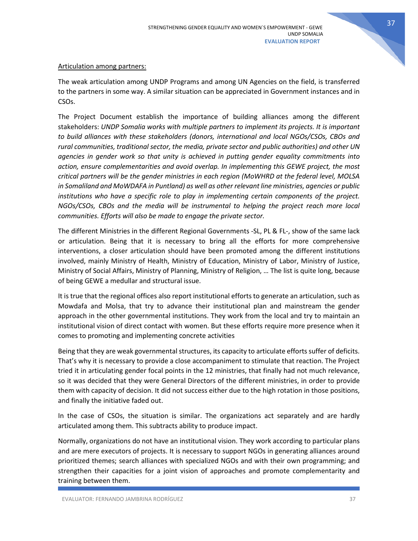#### Articulation among partners:

The weak articulation among UNDP Programs and among UN Agencies on the field, is transferred to the partners in some way. A similar situation can be appreciated in Government instances and in CSOs.

The Project Document establish the importance of building alliances among the different stakeholders: *UNDP Somalia works with multiple partners to implement its projects. It is important to build alliances with these stakeholders (donors, international and local NGOs/CSOs, CBOs and rural communities, traditional sector, the media, private sector and public authorities) and other UN agencies in gender work so that unity is achieved in putting gender equality commitments into action, ensure complementarities and avoid overlap. In implementing this GEWE project, the most critical partners will be the gender ministries in each region (MoWHRD at the federal level, MOLSA in Somaliland and MoWDAFA in Puntland) as well as other relevant line ministries, agencies or public institutions who have a specific role to play in implementing certain components of the project. NGOs/CSOs, CBOs and the media will be instrumental to helping the project reach more local communities. Efforts will also be made to engage the private sector.*

The different Ministries in the different Regional Governments -SL, PL & FL-, show of the same lack or articulation. Being that it is necessary to bring all the efforts for more comprehensive interventions, a closer articulation should have been promoted among the different institutions involved, mainly Ministry of Health, Ministry of Education, Ministry of Labor, Ministry of Justice, Ministry of Social Affairs, Ministry of Planning, Ministry of Religion, … The list is quite long, because of being GEWE a medullar and structural issue.

It is true that the regional offices also report institutional efforts to generate an articulation, such as Mowdafa and Molsa, that try to advance their institutional plan and mainstream the gender approach in the other governmental institutions. They work from the local and try to maintain an institutional vision of direct contact with women. But these efforts require more presence when it comes to promoting and implementing concrete activities

Being that they are weak governmental structures, its capacity to articulate efforts suffer of deficits. That's why it is necessary to provide a close accompaniment to stimulate that reaction. The Project tried it in articulating gender focal points in the 12 ministries, that finally had not much relevance, so it was decided that they were General Directors of the different ministries, in order to provide them with capacity of decision. It did not success either due to the high rotation in those positions, and finally the initiative faded out.

In the case of CSOs, the situation is similar. The organizations act separately and are hardly articulated among them. This subtracts ability to produce impact.

Normally, organizations do not have an institutional vision. They work according to particular plans and are mere executors of projects. It is necessary to support NGOs in generating alliances around prioritized themes; search alliances with specialized NGOs and with their own programming; and strengthen their capacities for a joint vision of approaches and promote complementarity and training between them.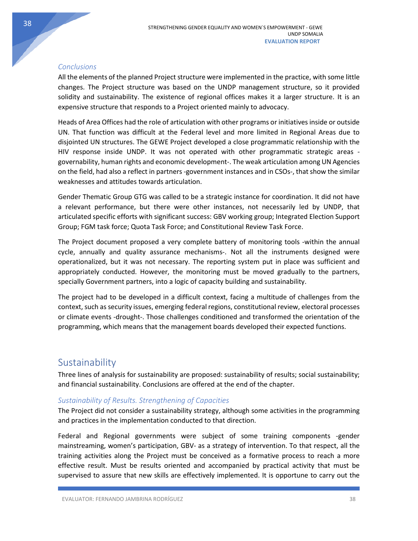#### <span id="page-38-0"></span>*Conclusions*

All the elements of the planned Project structure were implemented in the practice, with some little changes. The Project structure was based on the UNDP management structure, so it provided solidity and sustainability. The existence of regional offices makes it a larger structure. It is an expensive structure that responds to a Project oriented mainly to advocacy.

Heads of Area Offices had the role of articulation with other programs or initiatives inside or outside UN. That function was difficult at the Federal level and more limited in Regional Areas due to disjointed UN structures. The GEWE Project developed a close programmatic relationship with the HIV response inside UNDP. It was not operated with other programmatic strategic areas governability, human rights and economic development-. The weak articulation among UN Agencies on the field, had also a reflect in partners -government instances and in CSOs-, that show the similar weaknesses and attitudes towards articulation.

Gender Thematic Group GTG was called to be a strategic instance for coordination. It did not have a relevant performance, but there were other instances, not necessarily led by UNDP, that articulated specific efforts with significant success: GBV working group; Integrated Election Support Group; FGM task force; Quota Task Force; and Constitutional Review Task Force.

The Project document proposed a very complete battery of monitoring tools -within the annual cycle, annually and quality assurance mechanisms-. Not all the instruments designed were operationalized, but it was not necessary. The reporting system put in place was sufficient and appropriately conducted. However, the monitoring must be moved gradually to the partners, specially Government partners, into a logic of capacity building and sustainability.

The project had to be developed in a difficult context, facing a multitude of challenges from the context, such as security issues, emerging federal regions, constitutional review, electoral processes or climate events -drought-. Those challenges conditioned and transformed the orientation of the programming, which means that the management boards developed their expected functions.

# <span id="page-38-1"></span>Sustainability

Three lines of analysis for sustainability are proposed: sustainability of results; social sustainability; and financial sustainability. Conclusions are offered at the end of the chapter.

## <span id="page-38-2"></span>*Sustainability of Results. Strengthening of Capacities*

The Project did not consider a sustainability strategy, although some activities in the programming and practices in the implementation conducted to that direction.

Federal and Regional governments were subject of some training components -gender mainstreaming, women's participation, GBV- as a strategy of intervention. To that respect, all the training activities along the Project must be conceived as a formative process to reach a more effective result. Must be results oriented and accompanied by practical activity that must be supervised to assure that new skills are effectively implemented. It is opportune to carry out the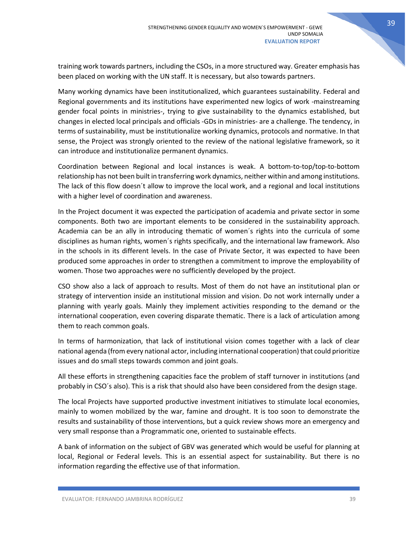training work towards partners, including the CSOs, in a more structured way. Greater emphasis has been placed on working with the UN staff. It is necessary, but also towards partners.

Many working dynamics have been institutionalized, which guarantees sustainability. Federal and Regional governments and its institutions have experimented new logics of work -mainstreaming gender focal points in ministries-, trying to give sustainability to the dynamics established, but changes in elected local principals and officials -GDs in ministries- are a challenge. The tendency, in terms of sustainability, must be institutionalize working dynamics, protocols and normative. In that sense, the Project was strongly oriented to the review of the national legislative framework, so it can introduce and institutionalize permanent dynamics.

Coordination between Regional and local instances is weak. A bottom-to-top/top-to-bottom relationship has not been built in transferring work dynamics, neither within and among institutions. The lack of this flow doesn´t allow to improve the local work, and a regional and local institutions with a higher level of coordination and awareness.

In the Project document it was expected the participation of academia and private sector in some components. Both two are important elements to be considered in the sustainability approach. Academia can be an ally in introducing thematic of women´s rights into the curricula of some disciplines as human rights, women´s rights specifically, and the international law framework. Also in the schools in its different levels. In the case of Private Sector, it was expected to have been produced some approaches in order to strengthen a commitment to improve the employability of women. Those two approaches were no sufficiently developed by the project.

CSO show also a lack of approach to results. Most of them do not have an institutional plan or strategy of intervention inside an institutional mission and vision. Do not work internally under a planning with yearly goals. Mainly they implement activities responding to the demand or the international cooperation, even covering disparate thematic. There is a lack of articulation among them to reach common goals.

In terms of harmonization, that lack of institutional vision comes together with a lack of clear national agenda (from every national actor, including international cooperation) that could prioritize issues and do small steps towards common and joint goals.

All these efforts in strengthening capacities face the problem of staff turnover in institutions (and probably in CSO´s also). This is a risk that should also have been considered from the design stage.

The local Projects have supported productive investment initiatives to stimulate local economies, mainly to women mobilized by the war, famine and drought. It is too soon to demonstrate the results and sustainability of those interventions, but a quick review shows more an emergency and very small response than a Programmatic one, oriented to sustainable effects.

A bank of information on the subject of GBV was generated which would be useful for planning at local, Regional or Federal levels. This is an essential aspect for sustainability. But there is no information regarding the effective use of that information.

39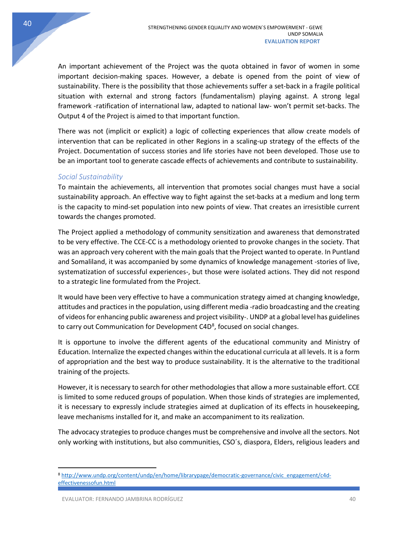An important achievement of the Project was the quota obtained in favor of women in some important decision-making spaces. However, a debate is opened from the point of view of sustainability. There is the possibility that those achievements suffer a set-back in a fragile political situation with external and strong factors (fundamentalism) playing against. A strong legal framework -ratification of international law, adapted to national law- won't permit set-backs. The Output 4 of the Project is aimed to that important function.

There was not (implicit or explicit) a logic of collecting experiences that allow create models of intervention that can be replicated in other Regions in a scaling-up strategy of the effects of the Project. Documentation of success stories and life stories have not been developed. Those use to be an important tool to generate cascade effects of achievements and contribute to sustainability.

#### <span id="page-40-0"></span>*Social Sustainability*

To maintain the achievements, all intervention that promotes social changes must have a social sustainability approach. An effective way to fight against the set-backs at a medium and long term is the capacity to mind-set population into new points of view. That creates an irresistible current towards the changes promoted.

The Project applied a methodology of community sensitization and awareness that demonstrated to be very effective. The CCE-CC is a methodology oriented to provoke changes in the society. That was an approach very coherent with the main goals that the Project wanted to operate. In Puntland and Somaliland, it was accompanied by some dynamics of knowledge management -stories of live, systematization of successful experiences-, but those were isolated actions. They did not respond to a strategic line formulated from the Project.

It would have been very effective to have a communication strategy aimed at changing knowledge, attitudes and practices in the population, using different media -radio broadcasting and the creating of videos for enhancing public awareness and project visibility-. UNDP at a global level has guidelines to carry out Communication for Development C4D $^8$  $^8$ , focused on social changes.

It is opportune to involve the different agents of the educational community and Ministry of Education. Internalize the expected changes within the educational curricula at all levels. It is a form of appropriation and the best way to produce sustainability. It is the alternative to the traditional training of the projects.

However, it is necessary to search for other methodologies that allow a more sustainable effort. CCE is limited to some reduced groups of population. When those kinds of strategies are implemented, it is necessary to expressly include strategies aimed at duplication of its effects in housekeeping, leave mechanisms installed for it, and make an accompaniment to its realization.

The advocacy strategies to produce changes must be comprehensive and involve all the sectors. Not only working with institutions, but also communities, CSO´s, diaspora, Elders, religious leaders and

<span id="page-40-1"></span> <sup>8</sup> [http://www.undp.org/content/undp/en/home/librarypage/democratic-governance/civic\\_engagement/c4d](http://www.undp.org/content/undp/en/home/librarypage/democratic-governance/civic_engagement/c4d-effectivenessofun.html)[effectivenessofun.html](http://www.undp.org/content/undp/en/home/librarypage/democratic-governance/civic_engagement/c4d-effectivenessofun.html)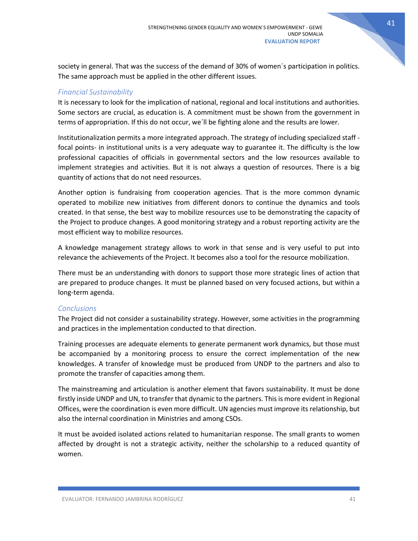society in general. That was the success of the demand of 30% of women´s participation in politics. The same approach must be applied in the other different issues.

## <span id="page-41-0"></span>*Financial Sustainability*

It is necessary to look for the implication of national, regional and local institutions and authorities. Some sectors are crucial, as education is. A commitment must be shown from the government in terms of appropriation. If this do not occur, we´ll be fighting alone and the results are lower.

Institutionalization permits a more integrated approach. The strategy of including specialized staff focal points- in institutional units is a very adequate way to guarantee it. The difficulty is the low professional capacities of officials in governmental sectors and the low resources available to implement strategies and activities. But it is not always a question of resources. There is a big quantity of actions that do not need resources.

Another option is fundraising from cooperation agencies. That is the more common dynamic operated to mobilize new initiatives from different donors to continue the dynamics and tools created. In that sense, the best way to mobilize resources use to be demonstrating the capacity of the Project to produce changes. A good monitoring strategy and a robust reporting activity are the most efficient way to mobilize resources.

A knowledge management strategy allows to work in that sense and is very useful to put into relevance the achievements of the Project. It becomes also a tool for the resource mobilization.

There must be an understanding with donors to support those more strategic lines of action that are prepared to produce changes. It must be planned based on very focused actions, but within a long-term agenda.

#### <span id="page-41-1"></span>*Conclusions*

The Project did not consider a sustainability strategy. However, some activities in the programming and practices in the implementation conducted to that direction.

Training processes are adequate elements to generate permanent work dynamics, but those must be accompanied by a monitoring process to ensure the correct implementation of the new knowledges. A transfer of knowledge must be produced from UNDP to the partners and also to promote the transfer of capacities among them.

The mainstreaming and articulation is another element that favors sustainability. It must be done firstly inside UNDP and UN, to transfer that dynamic to the partners. This is more evident in Regional Offices, were the coordination is even more difficult. UN agencies must improve its relationship, but also the internal coordination in Ministries and among CSOs.

It must be avoided isolated actions related to humanitarian response. The small grants to women affected by drought is not a strategic activity, neither the scholarship to a reduced quantity of women.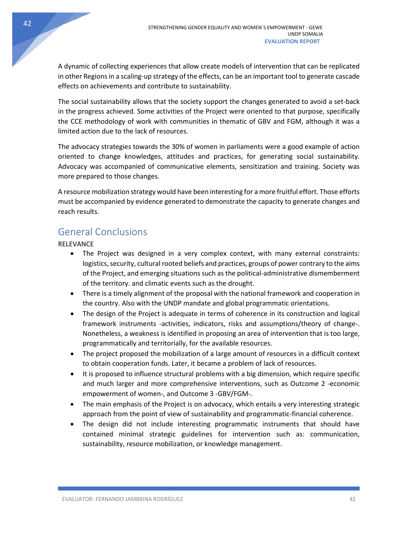A dynamic of collecting experiences that allow create models of intervention that can be replicated in other Regions in a scaling-up strategy of the effects, can be an important tool to generate cascade effects on achievements and contribute to sustainability.

The social sustainability allows that the society support the changes generated to avoid a set-back in the progress achieved. Some activities of the Project were oriented to that purpose, specifically the CCE methodology of work with communities in thematic of GBV and FGM, although it was a limited action due to the lack of resources.

The advocacy strategies towards the 30% of women in parliaments were a good example of action oriented to change knowledges, attitudes and practices, for generating social sustainability. Advocacy was accompanied of communicative elements, sensitization and training. Society was more prepared to those changes.

A resource mobilization strategy would have been interesting for a more fruitful effort. Those efforts must be accompanied by evidence generated to demonstrate the capacity to generate changes and reach results.

# <span id="page-42-0"></span>General Conclusions

RELEVANCE

- The Project was designed in a very complex context, with many external constraints: logistics, security, cultural rooted beliefs and practices, groups of power contrary to the aims of the Project, and emerging situations such as the political-administrative dismemberment of the territory. and climatic events such as the drought.
- There is a timely alignment of the proposal with the national framework and cooperation in the country. Also with the UNDP mandate and global programmatic orientations.
- The design of the Project is adequate in terms of coherence in its construction and logical framework instruments -activities, indicators, risks and assumptions/theory of change-. Nonetheless, a weakness is identified in proposing an area of intervention that is too large, programmatically and territorially, for the available resources.
- The project proposed the mobilization of a large amount of resources in a difficult context to obtain cooperation funds. Later, it became a problem of lack of resources.
- It is proposed to influence structural problems with a big dimension, which require specific and much larger and more comprehensive interventions, such as Outcome 2 -economic empowerment of women-, and Outcome 3 -GBV/FGM-.
- The main emphasis of the Project is on advocacy, which entails a very interesting strategic approach from the point of view of sustainability and programmatic-financial coherence.
- The design did not include interesting programmatic instruments that should have contained minimal strategic guidelines for intervention such as: communication, sustainability, resource mobilization, or knowledge management.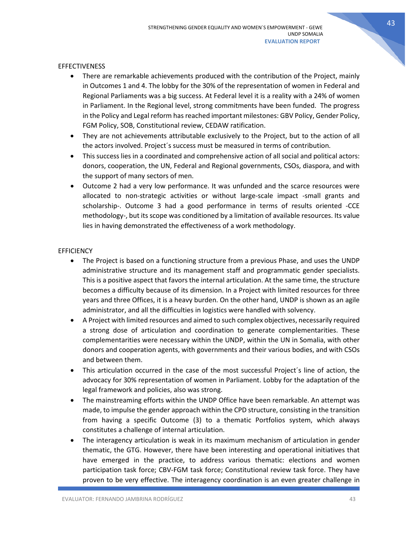#### **EFFECTIVENESS**

- There are remarkable achievements produced with the contribution of the Project, mainly in Outcomes 1 and 4. The lobby for the 30% of the representation of women in Federal and Regional Parliaments was a big success. At Federal level it is a reality with a 24% of women in Parliament. In the Regional level, strong commitments have been funded. The progress in the Policy and Legal reform has reached important milestones: GBV Policy, Gender Policy, FGM Policy, SOB, Constitutional review, CEDAW ratification.
- They are not achievements attributable exclusively to the Project, but to the action of all the actors involved. Project´s success must be measured in terms of contribution.
- This success lies in a coordinated and comprehensive action of all social and political actors: donors, cooperation, the UN, Federal and Regional governments, CSOs, diaspora, and with the support of many sectors of men.
- Outcome 2 had a very low performance. It was unfunded and the scarce resources were allocated to non-strategic activities or without large-scale impact -small grants and scholarship-. Outcome 3 had a good performance in terms of results oriented -CCE methodology-, but its scope was conditioned by a limitation of available resources. Its value lies in having demonstrated the effectiveness of a work methodology.

#### **EFFICIENCY**

- The Project is based on a functioning structure from a previous Phase, and uses the UNDP administrative structure and its management staff and programmatic gender specialists. This is a positive aspect that favors the internal articulation. At the same time, the structure becomes a difficulty because of its dimension. In a Project with limited resources for three years and three Offices, it is a heavy burden. On the other hand, UNDP is shown as an agile administrator, and all the difficulties in logistics were handled with solvency.
- A Project with limited resources and aimed to such complex objectives, necessarily required a strong dose of articulation and coordination to generate complementarities. These complementarities were necessary within the UNDP, within the UN in Somalia, with other donors and cooperation agents, with governments and their various bodies, and with CSOs and between them.
- This articulation occurred in the case of the most successful Project's line of action, the advocacy for 30% representation of women in Parliament. Lobby for the adaptation of the legal framework and policies, also was strong.
- The mainstreaming efforts within the UNDP Office have been remarkable. An attempt was made, to impulse the gender approach within the CPD structure, consisting in the transition from having a specific Outcome (3) to a thematic Portfolios system, which always constitutes a challenge of internal articulation.
- The interagency articulation is weak in its maximum mechanism of articulation in gender thematic, the GTG. However, there have been interesting and operational initiatives that have emerged in the practice, to address various thematic: elections and women participation task force; CBV-FGM task force; Constitutional review task force. They have proven to be very effective. The interagency coordination is an even greater challenge in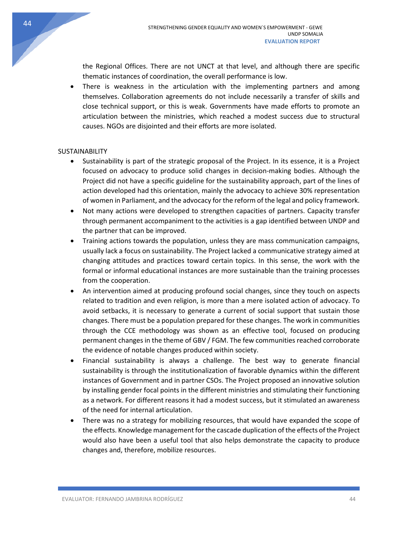the Regional Offices. There are not UNCT at that level, and although there are specific thematic instances of coordination, the overall performance is low.

There is weakness in the articulation with the implementing partners and among themselves. Collaboration agreements do not include necessarily a transfer of skills and close technical support, or this is weak. Governments have made efforts to promote an articulation between the ministries, which reached a modest success due to structural causes. NGOs are disjointed and their efforts are more isolated.

#### **SUSTAINABILITY**

- Sustainability is part of the strategic proposal of the Project. In its essence, it is a Project focused on advocacy to produce solid changes in decision-making bodies. Although the Project did not have a specific guideline for the sustainability approach, part of the lines of action developed had this orientation, mainly the advocacy to achieve 30% representation of women in Parliament, and the advocacy for the reform of the legal and policy framework.
- Not many actions were developed to strengthen capacities of partners. Capacity transfer through permanent accompaniment to the activities is a gap identified between UNDP and the partner that can be improved.
- Training actions towards the population, unless they are mass communication campaigns, usually lack a focus on sustainability. The Project lacked a communicative strategy aimed at changing attitudes and practices toward certain topics. In this sense, the work with the formal or informal educational instances are more sustainable than the training processes from the cooperation.
- An intervention aimed at producing profound social changes, since they touch on aspects related to tradition and even religion, is more than a mere isolated action of advocacy. To avoid setbacks, it is necessary to generate a current of social support that sustain those changes. There must be a population prepared for these changes. The work in communities through the CCE methodology was shown as an effective tool, focused on producing permanent changes in the theme of GBV / FGM. The few communities reached corroborate the evidence of notable changes produced within society.
- Financial sustainability is always a challenge. The best way to generate financial sustainability is through the institutionalization of favorable dynamics within the different instances of Government and in partner CSOs. The Project proposed an innovative solution by installing gender focal points in the different ministries and stimulating their functioning as a network. For different reasons it had a modest success, but it stimulated an awareness of the need for internal articulation.
- There was no a strategy for mobilizing resources, that would have expanded the scope of the effects. Knowledge management for the cascade duplication of the effects of the Project would also have been a useful tool that also helps demonstrate the capacity to produce changes and, therefore, mobilize resources.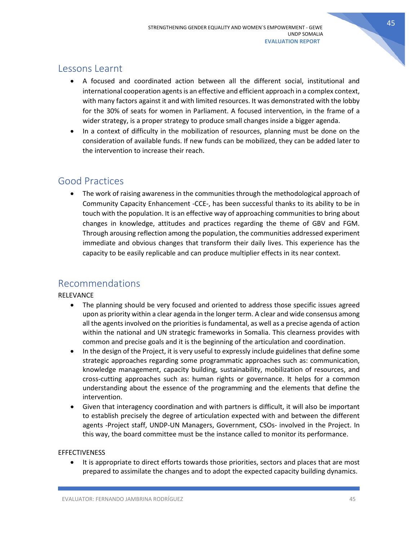45

# <span id="page-45-0"></span>Lessons Learnt

- A focused and coordinated action between all the different social, institutional and international cooperation agents is an effective and efficient approach in a complex context, with many factors against it and with limited resources. It was demonstrated with the lobby for the 30% of seats for women in Parliament. A focused intervention, in the frame of a wider strategy, is a proper strategy to produce small changes inside a bigger agenda.
- In a context of difficulty in the mobilization of resources, planning must be done on the consideration of available funds. If new funds can be mobilized, they can be added later to the intervention to increase their reach.

# <span id="page-45-1"></span>Good Practices

• The work of raising awareness in the communities through the methodological approach of Community Capacity Enhancement -CCE-, has been successful thanks to its ability to be in touch with the population. It is an effective way of approaching communities to bring about changes in knowledge, attitudes and practices regarding the theme of GBV and FGM. Through arousing reflection among the population, the communities addressed experiment immediate and obvious changes that transform their daily lives. This experience has the capacity to be easily replicable and can produce multiplier effects in its near context.

# <span id="page-45-2"></span>Recommendations

## RELEVANCE

- The planning should be very focused and oriented to address those specific issues agreed upon as priority within a clear agenda in the longer term. A clear and wide consensus among all the agents involved on the priorities is fundamental, as well as a precise agenda of action within the national and UN strategic frameworks in Somalia. This clearness provides with common and precise goals and it is the beginning of the articulation and coordination.
- In the design of the Project, it is very useful to expressly include guidelines that define some strategic approaches regarding some programmatic approaches such as: communication, knowledge management, capacity building, sustainability, mobilization of resources, and cross-cutting approaches such as: human rights or governance. It helps for a common understanding about the essence of the programming and the elements that define the intervention.
- Given that interagency coordination and with partners is difficult, it will also be important to establish precisely the degree of articulation expected with and between the different agents -Project staff, UNDP-UN Managers, Government, CSOs- involved in the Project. In this way, the board committee must be the instance called to monitor its performance.

#### **EFFECTIVENESS**

It is appropriate to direct efforts towards those priorities, sectors and places that are most prepared to assimilate the changes and to adopt the expected capacity building dynamics.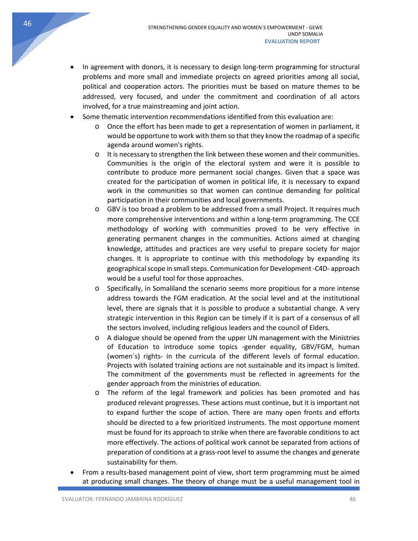- In agreement with donors, it is necessary to design long-term programming for structural problems and more small and immediate projects on agreed priorities among all social, political and cooperation actors. The priorities must be based on mature themes to be addressed, very focused, and under the commitment and coordination of all actors involved, for a true mainstreaming and joint action.
- Some thematic intervention recommendations identified from this evaluation are:
	- o Once the effort has been made to get a representation of women in parliament, it would be opportune to work with them so that they know the roadmap of a specific agenda around women's rights.
	- $\circ$  It is necessary to strengthen the link between these women and their communities. Communities is the origin of the electoral system and were it is possible to contribute to produce more permanent social changes. Given that a space was created for the participation of women in political life, it is necessary to expand work in the communities so that women can continue demanding for political participation in their communities and local governments.
	- o GBV is too broad a problem to be addressed from a small Project. It requires much more comprehensive interventions and within a long-term programming. The CCE methodology of working with communities proved to be very effective in generating permanent changes in the communities. Actions aimed at changing knowledge, attitudes and practices are very useful to prepare society for major changes. It is appropriate to continue with this methodology by expanding its geographical scope in small steps. Communication for Development -C4D- approach would be a useful tool for those approaches.
	- o Specifically, in Somaliland the scenario seems more propitious for a more intense address towards the FGM eradication. At the social level and at the institutional level, there are signals that it is possible to produce a substantial change. A very strategic intervention in this Region can be timely if it is part of a consensus of all the sectors involved, including religious leaders and the council of Elders.
	- o A dialogue should be opened from the upper UN management with the Ministries of Education to introduce some topics -gender equality, GBV/FGM, human (women´s) rights- in the curricula of the different levels of formal education. Projects with isolated training actions are not sustainable and its impact is limited. The commitment of the governments must be reflected in agreements for the gender approach from the ministries of education.
	- o The reform of the legal framework and policies has been promoted and has produced relevant progresses. These actions must continue, but it is important not to expand further the scope of action. There are many open fronts and efforts should be directed to a few prioritized instruments. The most opportune moment must be found for its approach to strike when there are favorable conditions to act more effectively. The actions of political work cannot be separated from actions of preparation of conditions at a grass-root level to assume the changes and generate sustainability for them.
- From a results-based management point of view, short term programming must be aimed at producing small changes. The theory of change must be a useful management tool in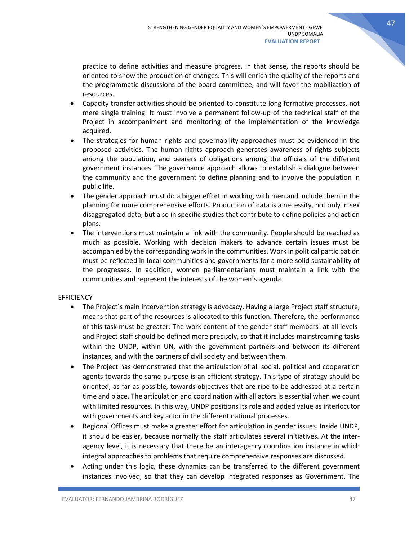practice to define activities and measure progress. In that sense, the reports should be oriented to show the production of changes. This will enrich the quality of the reports and the programmatic discussions of the board committee, and will favor the mobilization of resources.

- Capacity transfer activities should be oriented to constitute long formative processes, not mere single training. It must involve a permanent follow-up of the technical staff of the Project in accompaniment and monitoring of the implementation of the knowledge acquired.
- The strategies for human rights and governability approaches must be evidenced in the proposed activities. The human rights approach generates awareness of rights subjects among the population, and bearers of obligations among the officials of the different government instances. The governance approach allows to establish a dialogue between the community and the government to define planning and to involve the population in public life.
- The gender approach must do a bigger effort in working with men and include them in the planning for more comprehensive efforts. Production of data is a necessity, not only in sex disaggregated data, but also in specific studies that contribute to define policies and action plans.
- The interventions must maintain a link with the community. People should be reached as much as possible. Working with decision makers to advance certain issues must be accompanied by the corresponding work in the communities. Work in political participation must be reflected in local communities and governments for a more solid sustainability of the progresses. In addition, women parliamentarians must maintain a link with the communities and represent the interests of the women´s agenda.

#### **EFFICIENCY**

- The Project's main intervention strategy is advocacy. Having a large Project staff structure, means that part of the resources is allocated to this function. Therefore, the performance of this task must be greater. The work content of the gender staff members -at all levelsand Project staff should be defined more precisely, so that it includes mainstreaming tasks within the UNDP, within UN, with the government partners and between its different instances, and with the partners of civil society and between them.
- The Project has demonstrated that the articulation of all social, political and cooperation agents towards the same purpose is an efficient strategy. This type of strategy should be oriented, as far as possible, towards objectives that are ripe to be addressed at a certain time and place. The articulation and coordination with all actors is essential when we count with limited resources. In this way, UNDP positions its role and added value as interlocutor with governments and key actor in the different national processes.
- Regional Offices must make a greater effort for articulation in gender issues. Inside UNDP, it should be easier, because normally the staff articulates several initiatives. At the interagency level, it is necessary that there be an interagency coordination instance in which integral approaches to problems that require comprehensive responses are discussed.
- Acting under this logic, these dynamics can be transferred to the different government instances involved, so that they can develop integrated responses as Government. The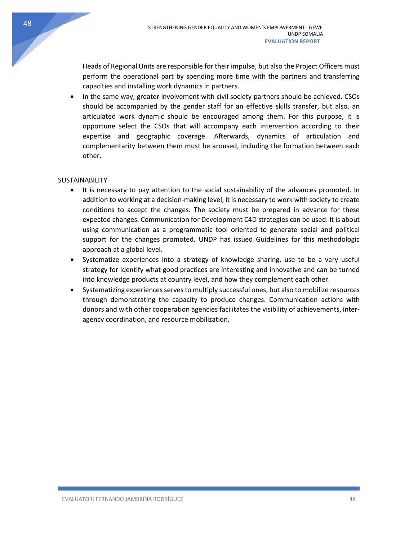Heads of Regional Units are responsible for their impulse, but also the Project Officers must perform the operational part by spending more time with the partners and transferring capacities and installing work dynamics in partners.

• In the same way, greater involvement with civil society partners should be achieved. CSOs should be accompanied by the gender staff for an effective skills transfer, but also, an articulated work dynamic should be encouraged among them. For this purpose, it is opportune select the CSOs that will accompany each intervention according to their expertise and geographic coverage. Afterwards, dynamics of articulation and complementarity between them must be aroused, including the formation between each other.

#### **SUSTAINABILITY**

- It is necessary to pay attention to the social sustainability of the advances promoted. In addition to working at a decision-making level, it is necessary to work with society to create conditions to accept the changes. The society must be prepared in advance for these expected changes. Communication for Development C4D strategies can be used. It is about using communication as a programmatic tool oriented to generate social and political support for the changes promoted. UNDP has issued Guidelines for this methodologic approach at a global level.
- Systematize experiences into a strategy of knowledge sharing, use to be a very useful strategy for identify what good practices are interesting and innovative and can be turned into knowledge products at country level, and how they complement each other.
- Systematizing experiences serves to multiply successful ones, but also to mobilize resources through demonstrating the capacity to produce changes. Communication actions with donors and with other cooperation agencies facilitates the visibility of achievements, interagency coordination, and resource mobilization.